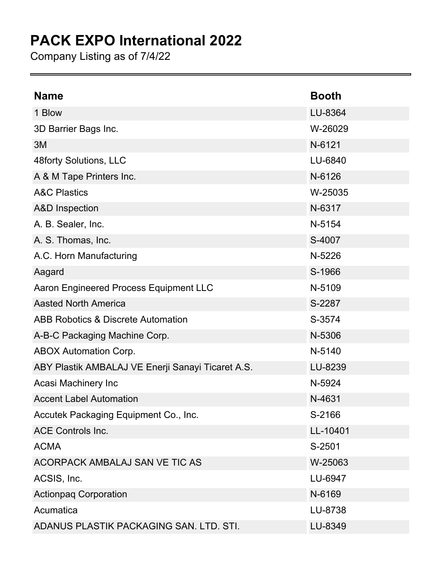## **PACK EXPO International 2022**

Company Listing as of 7/4/22

| <b>Name</b>                                       | <b>Booth</b> |
|---------------------------------------------------|--------------|
| 1 Blow                                            | LU-8364      |
| 3D Barrier Bags Inc.                              | W-26029      |
| 3M                                                | N-6121       |
| 48forty Solutions, LLC                            | LU-6840      |
| A & M Tape Printers Inc.                          | N-6126       |
| <b>A&amp;C Plastics</b>                           | W-25035      |
| <b>A&amp;D</b> Inspection                         | N-6317       |
| A. B. Sealer, Inc.                                | N-5154       |
| A. S. Thomas, Inc.                                | S-4007       |
| A.C. Horn Manufacturing                           | N-5226       |
| Aagard                                            | S-1966       |
| Aaron Engineered Process Equipment LLC            | N-5109       |
| <b>Aasted North America</b>                       | S-2287       |
| <b>ABB Robotics &amp; Discrete Automation</b>     | S-3574       |
| A-B-C Packaging Machine Corp.                     | N-5306       |
| <b>ABOX Automation Corp.</b>                      | N-5140       |
| ABY Plastik AMBALAJ VE Enerji Sanayi Ticaret A.S. | LU-8239      |
| Acasi Machinery Inc                               | N-5924       |
| <b>Accent Label Automation</b>                    | N-4631       |
| Accutek Packaging Equipment Co., Inc.             | S-2166       |
| <b>ACE Controls Inc.</b>                          | LL-10401     |
| <b>ACMA</b>                                       | S-2501       |
| ACORPACK AMBALAJ SAN VE TIC AS                    | W-25063      |
| ACSIS, Inc.                                       | LU-6947      |
| <b>Actionpag Corporation</b>                      | N-6169       |
| Acumatica                                         | LU-8738      |
| ADANUS PLASTIK PACKAGING SAN. LTD. STI.           | LU-8349      |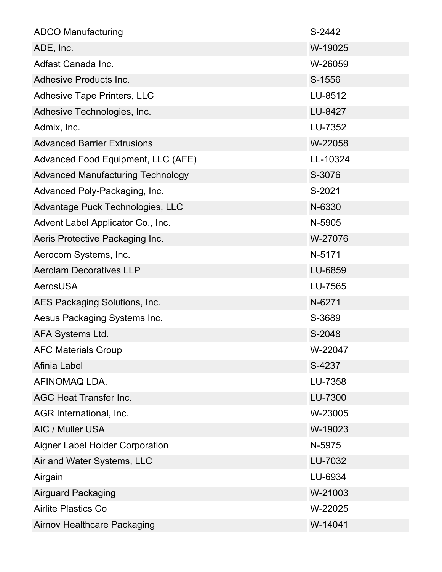| <b>ADCO Manufacturing</b>                | S-2442   |
|------------------------------------------|----------|
| ADE, Inc.                                | W-19025  |
| Adfast Canada Inc.                       | W-26059  |
| Adhesive Products Inc.                   | S-1556   |
| <b>Adhesive Tape Printers, LLC</b>       | LU-8512  |
| Adhesive Technologies, Inc.              | LU-8427  |
| Admix, Inc.                              | LU-7352  |
| <b>Advanced Barrier Extrusions</b>       | W-22058  |
| Advanced Food Equipment, LLC (AFE)       | LL-10324 |
| <b>Advanced Manufacturing Technology</b> | S-3076   |
| Advanced Poly-Packaging, Inc.            | S-2021   |
| Advantage Puck Technologies, LLC         | N-6330   |
| Advent Label Applicator Co., Inc.        | N-5905   |
| Aeris Protective Packaging Inc.          | W-27076  |
| Aerocom Systems, Inc.                    | N-5171   |
| <b>Aerolam Decoratives LLP</b>           | LU-6859  |
| <b>AerosUSA</b>                          | LU-7565  |
| AES Packaging Solutions, Inc.            | N-6271   |
| Aesus Packaging Systems Inc.             | S-3689   |
| AFA Systems Ltd.                         | S-2048   |
| <b>AFC Materials Group</b>               | W-22047  |
| Afinia Label                             | S-4237   |
| AFINOMAQ LDA.                            | LU-7358  |
| <b>AGC Heat Transfer Inc.</b>            | LU-7300  |
| AGR International, Inc.                  | W-23005  |
| AIC / Muller USA                         | W-19023  |
| <b>Aigner Label Holder Corporation</b>   | N-5975   |
| Air and Water Systems, LLC               | LU-7032  |
| Airgain                                  | LU-6934  |
| <b>Airguard Packaging</b>                | W-21003  |
| <b>Airlite Plastics Co</b>               | W-22025  |
| <b>Airnov Healthcare Packaging</b>       | W-14041  |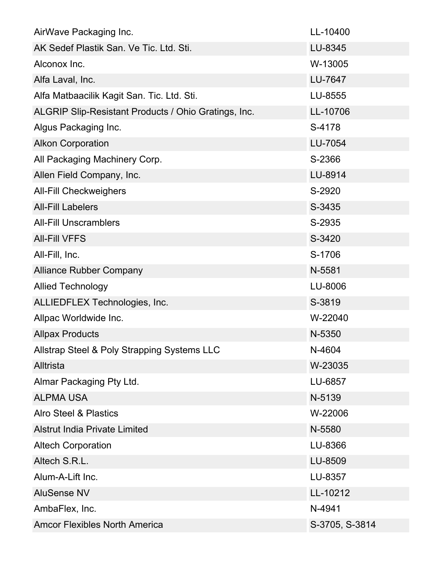| AirWave Packaging Inc.                               | LL-10400       |
|------------------------------------------------------|----------------|
| AK Sedef Plastik San. Ve Tic. Ltd. Sti.              | LU-8345        |
| Alconox Inc.                                         | W-13005        |
| Alfa Laval, Inc.                                     | LU-7647        |
| Alfa Matbaacilik Kagit San. Tic. Ltd. Sti.           | LU-8555        |
| ALGRIP Slip-Resistant Products / Ohio Gratings, Inc. | LL-10706       |
| Algus Packaging Inc.                                 | S-4178         |
| <b>Alkon Corporation</b>                             | LU-7054        |
| All Packaging Machinery Corp.                        | S-2366         |
| Allen Field Company, Inc.                            | LU-8914        |
| <b>All-Fill Checkweighers</b>                        | S-2920         |
| <b>All-Fill Labelers</b>                             | S-3435         |
| <b>All-Fill Unscramblers</b>                         | S-2935         |
| <b>AII-FIII VFFS</b>                                 | S-3420         |
| All-Fill, Inc.                                       | S-1706         |
| <b>Alliance Rubber Company</b>                       | N-5581         |
| <b>Allied Technology</b>                             | LU-8006        |
| ALLIEDFLEX Technologies, Inc.                        | S-3819         |
| Allpac Worldwide Inc.                                | W-22040        |
| <b>Allpax Products</b>                               | N-5350         |
| Allstrap Steel & Poly Strapping Systems LLC          | N-4604         |
| Alltrista                                            | W-23035        |
| Almar Packaging Pty Ltd.                             | LU-6857        |
| <b>ALPMA USA</b>                                     | N-5139         |
| <b>Alro Steel &amp; Plastics</b>                     | W-22006        |
| <b>Alstrut India Private Limited</b>                 | N-5580         |
| <b>Altech Corporation</b>                            | LU-8366        |
| Altech S.R.L.                                        | LU-8509        |
| Alum-A-Lift Inc.                                     | LU-8357        |
| <b>AluSense NV</b>                                   | LL-10212       |
| AmbaFlex, Inc.                                       | N-4941         |
| <b>Amcor Flexibles North America</b>                 | S-3705, S-3814 |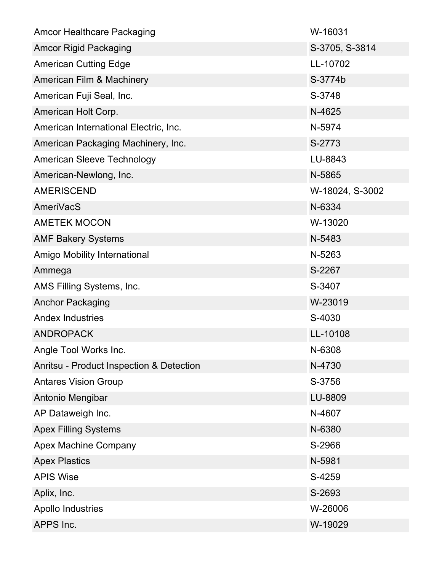| <b>Amcor Healthcare Packaging</b>        | W-16031         |
|------------------------------------------|-----------------|
| <b>Amcor Rigid Packaging</b>             | S-3705, S-3814  |
| <b>American Cutting Edge</b>             | LL-10702        |
| American Film & Machinery                | S-3774b         |
| American Fuji Seal, Inc.                 | S-3748          |
| American Holt Corp.                      | N-4625          |
| American International Electric, Inc.    | N-5974          |
| American Packaging Machinery, Inc.       | S-2773          |
| American Sleeve Technology               | LU-8843         |
| American-Newlong, Inc.                   | N-5865          |
| <b>AMERISCEND</b>                        | W-18024, S-3002 |
| AmeriVacS                                | N-6334          |
| <b>AMETEK MOCON</b>                      | W-13020         |
| <b>AMF Bakery Systems</b>                | N-5483          |
| Amigo Mobility International             | N-5263          |
| Ammega                                   | S-2267          |
| AMS Filling Systems, Inc.                | S-3407          |
| <b>Anchor Packaging</b>                  | W-23019         |
| <b>Andex Industries</b>                  | S-4030          |
| <b>ANDROPACK</b>                         | LL-10108        |
| Angle Tool Works Inc.                    | N-6308          |
| Anritsu - Product Inspection & Detection | N-4730          |
| <b>Antares Vision Group</b>              | S-3756          |
| Antonio Mengibar                         | LU-8809         |
| AP Dataweigh Inc.                        | N-4607          |
| <b>Apex Filling Systems</b>              | N-6380          |
| <b>Apex Machine Company</b>              | S-2966          |
| <b>Apex Plastics</b>                     | N-5981          |
| <b>APIS Wise</b>                         | S-4259          |
| Aplix, Inc.                              | S-2693          |
| <b>Apollo Industries</b>                 | W-26006         |
| APPS Inc.                                | W-19029         |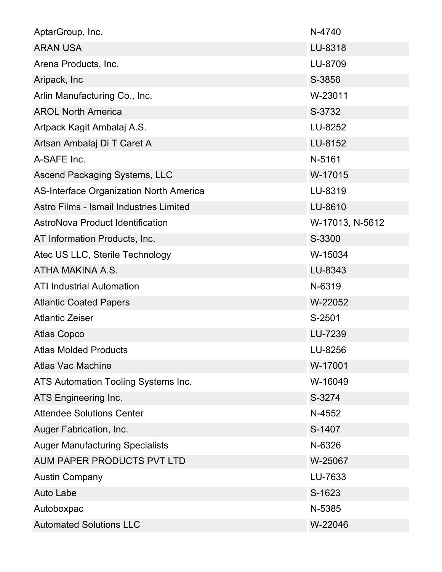| AptarGroup, Inc.                               | N-4740          |
|------------------------------------------------|-----------------|
| <b>ARAN USA</b>                                | LU-8318         |
| Arena Products, Inc.                           | LU-8709         |
| Aripack, Inc                                   | S-3856          |
| Arlin Manufacturing Co., Inc.                  | W-23011         |
| <b>AROL North America</b>                      | S-3732          |
| Artpack Kagit Ambalaj A.S.                     | LU-8252         |
| Artsan Ambalaj Di T Caret A                    | LU-8152         |
| A-SAFE Inc.                                    | N-5161          |
| Ascend Packaging Systems, LLC                  | W-17015         |
| <b>AS-Interface Organization North America</b> | LU-8319         |
| Astro Films - Ismail Industries Limited        | LU-8610         |
| AstroNova Product Identification               | W-17013, N-5612 |
| AT Information Products, Inc.                  | S-3300          |
| Atec US LLC, Sterile Technology                | W-15034         |
| ATHA MAKINA A.S.                               | LU-8343         |
| <b>ATI Industrial Automation</b>               | N-6319          |
| <b>Atlantic Coated Papers</b>                  | W-22052         |
| <b>Atlantic Zeiser</b>                         | S-2501          |
| <b>Atlas Copco</b>                             | LU-7239         |
| <b>Atlas Molded Products</b>                   | LU-8256         |
| <b>Atlas Vac Machine</b>                       | W-17001         |
| ATS Automation Tooling Systems Inc.            | W-16049         |
| ATS Engineering Inc.                           | S-3274          |
| <b>Attendee Solutions Center</b>               | N-4552          |
| Auger Fabrication, Inc.                        | S-1407          |
| <b>Auger Manufacturing Specialists</b>         | N-6326          |
| AUM PAPER PRODUCTS PVT LTD                     | W-25067         |
| <b>Austin Company</b>                          | LU-7633         |
| <b>Auto Labe</b>                               | S-1623          |
| Autoboxpac                                     | N-5385          |
| <b>Automated Solutions LLC</b>                 | W-22046         |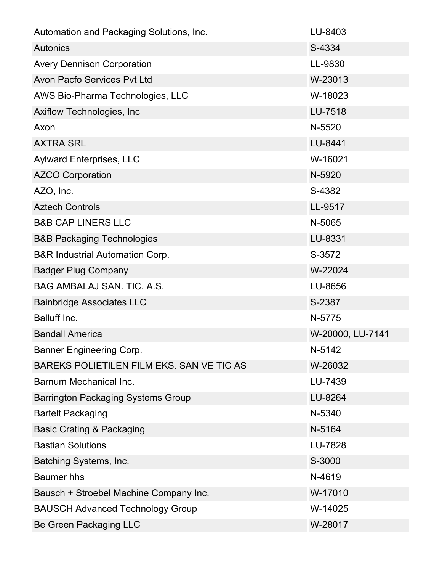| Automation and Packaging Solutions, Inc.   | LU-8403          |
|--------------------------------------------|------------------|
| <b>Autonics</b>                            | S-4334           |
| <b>Avery Dennison Corporation</b>          | LL-9830          |
| Avon Pacfo Services Pvt Ltd                | W-23013          |
| AWS Bio-Pharma Technologies, LLC           | W-18023          |
| Axiflow Technologies, Inc.                 | LU-7518          |
| Axon                                       | N-5520           |
| <b>AXTRA SRL</b>                           | LU-8441          |
| <b>Aylward Enterprises, LLC</b>            | W-16021          |
| <b>AZCO Corporation</b>                    | N-5920           |
| AZO, Inc.                                  | S-4382           |
| <b>Aztech Controls</b>                     | LL-9517          |
| <b>B&amp;B CAP LINERS LLC</b>              | N-5065           |
| <b>B&amp;B Packaging Technologies</b>      | LU-8331          |
| <b>B&amp;R Industrial Automation Corp.</b> | S-3572           |
| <b>Badger Plug Company</b>                 | W-22024          |
| BAG AMBALAJ SAN. TIC. A.S.                 | LU-8656          |
| <b>Bainbridge Associates LLC</b>           | S-2387           |
| Balluff Inc.                               | N-5775           |
| <b>Bandall America</b>                     | W-20000, LU-7141 |
| <b>Banner Engineering Corp.</b>            | N-5142           |
| BAREKS POLIETILEN FILM EKS. SAN VE TIC AS  | W-26032          |
| Barnum Mechanical Inc.                     | LU-7439          |
| <b>Barrington Packaging Systems Group</b>  | LU-8264          |
| <b>Bartelt Packaging</b>                   | N-5340           |
| <b>Basic Crating &amp; Packaging</b>       | N-5164           |
| <b>Bastian Solutions</b>                   | LU-7828          |
| Batching Systems, Inc.                     | S-3000           |
| <b>Baumer</b> hhs                          | N-4619           |
| Bausch + Stroebel Machine Company Inc.     | W-17010          |
| <b>BAUSCH Advanced Technology Group</b>    | W-14025          |
| Be Green Packaging LLC                     | W-28017          |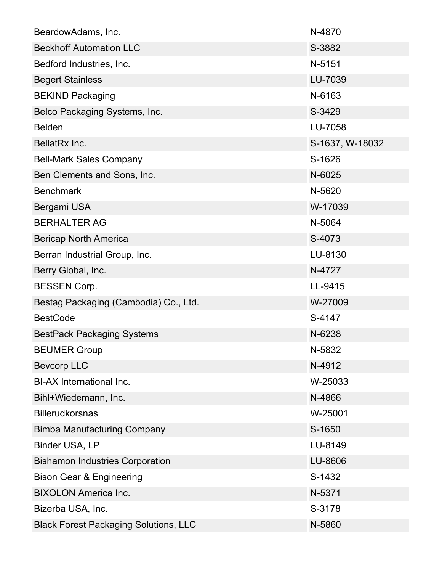| BeardowAdams, Inc.                           | N-4870          |
|----------------------------------------------|-----------------|
| <b>Beckhoff Automation LLC</b>               | S-3882          |
| Bedford Industries, Inc.                     | N-5151          |
| <b>Begert Stainless</b>                      | LU-7039         |
| <b>BEKIND Packaging</b>                      | N-6163          |
| Belco Packaging Systems, Inc.                | S-3429          |
| <b>Belden</b>                                | LU-7058         |
| BellatRx Inc.                                | S-1637, W-18032 |
| <b>Bell-Mark Sales Company</b>               | S-1626          |
| Ben Clements and Sons, Inc.                  | N-6025          |
| <b>Benchmark</b>                             | N-5620          |
| Bergami USA                                  | W-17039         |
| <b>BERHALTER AG</b>                          | N-5064          |
| <b>Bericap North America</b>                 | S-4073          |
| Berran Industrial Group, Inc.                | LU-8130         |
| Berry Global, Inc.                           | N-4727          |
| <b>BESSEN Corp.</b>                          | LL-9415         |
| Bestag Packaging (Cambodia) Co., Ltd.        | W-27009         |
| <b>BestCode</b>                              | S-4147          |
| <b>BestPack Packaging Systems</b>            | N-6238          |
| <b>BEUMER Group</b>                          | N-5832          |
| <b>Bevcorp LLC</b>                           | N-4912          |
| <b>BI-AX International Inc.</b>              | W-25033         |
| Bihl+Wiedemann, Inc.                         | N-4866          |
| <b>Billerudkorsnas</b>                       | W-25001         |
| <b>Bimba Manufacturing Company</b>           | S-1650          |
| Binder USA, LP                               | LU-8149         |
| <b>Bishamon Industries Corporation</b>       | LU-8606         |
| <b>Bison Gear &amp; Engineering</b>          | S-1432          |
| <b>BIXOLON America Inc.</b>                  | N-5371          |
| Bizerba USA, Inc.                            | S-3178          |
| <b>Black Forest Packaging Solutions, LLC</b> | N-5860          |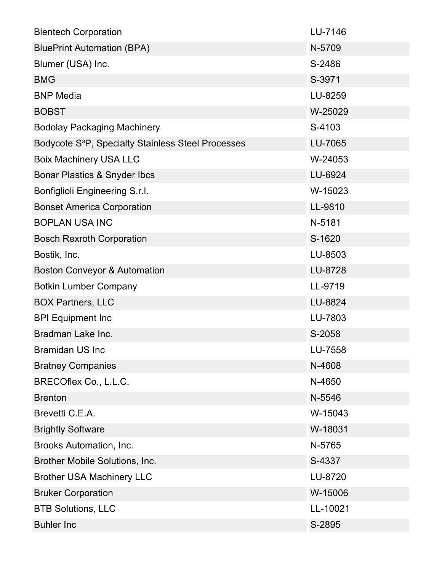| <b>Blentech Corporation</b>                                    | LU-7146  |
|----------------------------------------------------------------|----------|
| <b>BluePrint Automation (BPA)</b>                              | N-5709   |
| Blumer (USA) Inc.                                              | S-2486   |
| <b>BMG</b>                                                     | S-3971   |
| <b>BNP Media</b>                                               | LU-8259  |
| <b>BOBST</b>                                                   | W-25029  |
| <b>Bodolay Packaging Machinery</b>                             | S-4103   |
| Bodycote S <sup>3</sup> P, Specialty Stainless Steel Processes | LU-7065  |
| <b>Boix Machinery USA LLC</b>                                  | W-24053  |
| Bonar Plastics & Snyder Ibcs                                   | LU-6924  |
| Bonfiglioli Engineering S.r.l.                                 | W-15023  |
| <b>Bonset America Corporation</b>                              | LL-9810  |
| <b>BOPLAN USA INC</b>                                          | N-5181   |
| <b>Bosch Rexroth Corporation</b>                               | S-1620   |
| Bostik, Inc.                                                   | LU-8503  |
| <b>Boston Conveyor &amp; Automation</b>                        | LU-8728  |
| <b>Botkin Lumber Company</b>                                   | LL-9719  |
| <b>BOX Partners, LLC</b>                                       | LU-8824  |
| <b>BPI Equipment Inc</b>                                       | LU-7803  |
| Bradman Lake Inc.                                              | S-2058   |
| <b>Bramidan US Inc</b>                                         | LU-7558  |
| <b>Bratney Companies</b>                                       | N-4608   |
| BRECOflex Co., L.L.C.                                          | N-4650   |
| <b>Brenton</b>                                                 | N-5546   |
| Brevetti C.E.A.                                                | W-15043  |
| <b>Brightly Software</b>                                       | W-18031  |
| Brooks Automation, Inc.                                        | N-5765   |
| Brother Mobile Solutions, Inc.                                 | S-4337   |
| <b>Brother USA Machinery LLC</b>                               | LU-8720  |
| <b>Bruker Corporation</b>                                      | W-15006  |
| <b>BTB Solutions, LLC</b>                                      | LL-10021 |
| <b>Buhler Inc</b>                                              | S-2895   |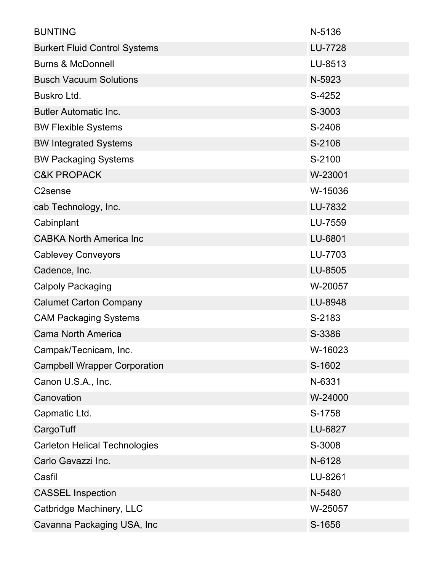| <b>BUNTING</b>                       | N-5136         |
|--------------------------------------|----------------|
| <b>Burkert Fluid Control Systems</b> | <b>LU-7728</b> |
| <b>Burns &amp; McDonnell</b>         | LU-8513        |
| <b>Busch Vacuum Solutions</b>        | N-5923         |
| Buskro Ltd.                          | S-4252         |
| <b>Butler Automatic Inc.</b>         | S-3003         |
| <b>BW Flexible Systems</b>           | S-2406         |
| <b>BW Integrated Systems</b>         | S-2106         |
| <b>BW Packaging Systems</b>          | S-2100         |
| <b>C&amp;K PROPACK</b>               | W-23001        |
| C <sub>2</sub> sense                 | W-15036        |
| cab Technology, Inc.                 | LU-7832        |
| Cabinplant                           | LU-7559        |
| <b>CABKA North America Inc</b>       | LU-6801        |
| <b>Cablevey Conveyors</b>            | LU-7703        |
| Cadence, Inc.                        | LU-8505        |
| <b>Calpoly Packaging</b>             | W-20057        |
| <b>Calumet Carton Company</b>        | LU-8948        |
| <b>CAM Packaging Systems</b>         | S-2183         |
| <b>Cama North America</b>            | S-3386         |
| Campak/Tecnicam, Inc.                | W-16023        |
| <b>Campbell Wrapper Corporation</b>  | S-1602         |
| Canon U.S.A., Inc.                   | N-6331         |
| Canovation                           | W-24000        |
| Capmatic Ltd.                        | S-1758         |
| CargoTuff                            | LU-6827        |
| <b>Carleton Helical Technologies</b> | S-3008         |
| Carlo Gavazzi Inc.                   | N-6128         |
| Casfil                               | LU-8261        |
| <b>CASSEL Inspection</b>             | N-5480         |
| Catbridge Machinery, LLC             | W-25057        |
| Cavanna Packaging USA, Inc           | S-1656         |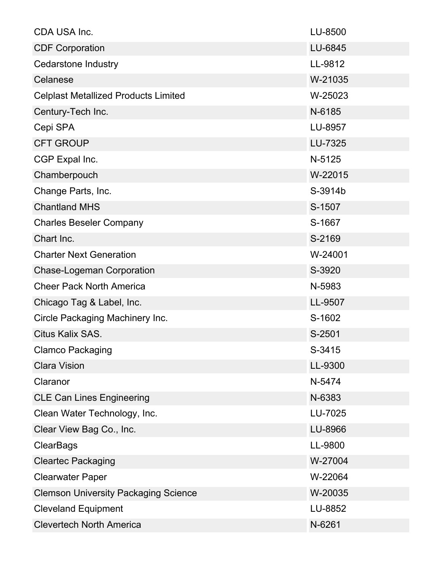| CDA USA Inc.                                | LU-8500 |
|---------------------------------------------|---------|
| <b>CDF Corporation</b>                      | LU-6845 |
| <b>Cedarstone Industry</b>                  | LL-9812 |
| Celanese                                    | W-21035 |
| <b>Celplast Metallized Products Limited</b> | W-25023 |
| Century-Tech Inc.                           | N-6185  |
| Cepi SPA                                    | LU-8957 |
| <b>CFT GROUP</b>                            | LU-7325 |
| CGP Expal Inc.                              | N-5125  |
| Chamberpouch                                | W-22015 |
| Change Parts, Inc.                          | S-3914b |
| <b>Chantland MHS</b>                        | S-1507  |
| <b>Charles Beseler Company</b>              | S-1667  |
| Chart Inc.                                  | S-2169  |
| <b>Charter Next Generation</b>              | W-24001 |
| <b>Chase-Logeman Corporation</b>            | S-3920  |
| <b>Cheer Pack North America</b>             | N-5983  |
| Chicago Tag & Label, Inc.                   | LL-9507 |
| Circle Packaging Machinery Inc.             | S-1602  |
| Citus Kalix SAS.                            | S-2501  |
| <b>Clamco Packaging</b>                     | S-3415  |
| <b>Clara Vision</b>                         | LL-9300 |
| Claranor                                    | N-5474  |
| <b>CLE Can Lines Engineering</b>            | N-6383  |
| Clean Water Technology, Inc.                | LU-7025 |
| Clear View Bag Co., Inc.                    | LU-8966 |
| <b>ClearBags</b>                            | LL-9800 |
| <b>Cleartec Packaging</b>                   | W-27004 |
| <b>Clearwater Paper</b>                     | W-22064 |
| <b>Clemson University Packaging Science</b> | W-20035 |
| <b>Cleveland Equipment</b>                  | LU-8852 |
| <b>Clevertech North America</b>             | N-6261  |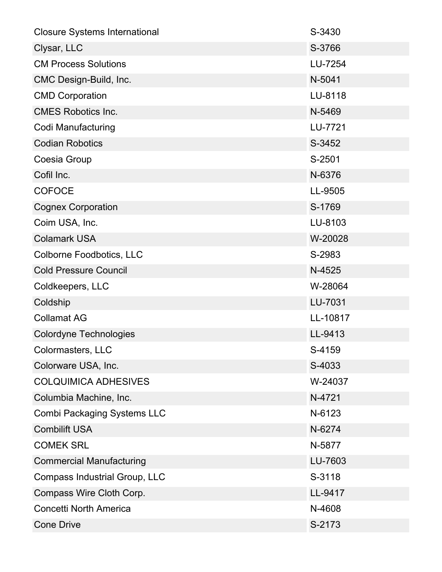| <b>Closure Systems International</b> | S-3430   |
|--------------------------------------|----------|
| Clysar, LLC                          | S-3766   |
| <b>CM Process Solutions</b>          | LU-7254  |
| CMC Design-Build, Inc.               | N-5041   |
| <b>CMD Corporation</b>               | LU-8118  |
| <b>CMES Robotics Inc.</b>            | N-5469   |
| Codi Manufacturing                   | LU-7721  |
| <b>Codian Robotics</b>               | S-3452   |
| Coesia Group                         | S-2501   |
| Cofil Inc.                           | N-6376   |
| <b>COFOCE</b>                        | LL-9505  |
| <b>Cognex Corporation</b>            | S-1769   |
| Coim USA, Inc.                       | LU-8103  |
| <b>Colamark USA</b>                  | W-20028  |
| <b>Colborne Foodbotics, LLC</b>      | S-2983   |
| <b>Cold Pressure Council</b>         | N-4525   |
| Coldkeepers, LLC                     | W-28064  |
| Coldship                             | LU-7031  |
| <b>Collamat AG</b>                   | LL-10817 |
| <b>Colordyne Technologies</b>        | LL-9413  |
| Colormasters, LLC                    | S-4159   |
| Colorware USA, Inc.                  | S-4033   |
| <b>COLQUIMICA ADHESIVES</b>          | W-24037  |
| Columbia Machine, Inc.               | N-4721   |
| <b>Combi Packaging Systems LLC</b>   | N-6123   |
| <b>Combilift USA</b>                 | N-6274   |
| <b>COMEK SRL</b>                     | N-5877   |
| <b>Commercial Manufacturing</b>      | LU-7603  |
| Compass Industrial Group, LLC        | S-3118   |
| Compass Wire Cloth Corp.             | LL-9417  |
| <b>Concetti North America</b>        | N-4608   |
| <b>Cone Drive</b>                    | S-2173   |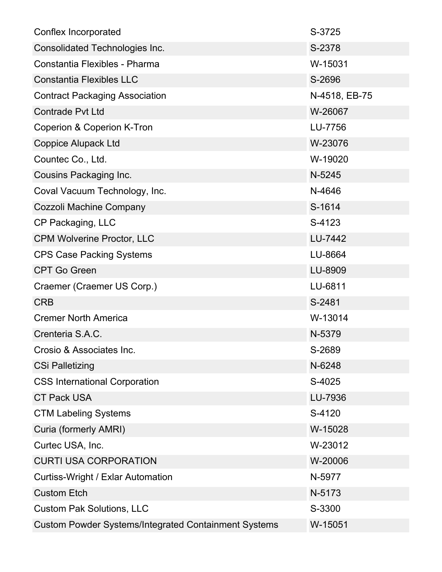| Conflex Incorporated                                        | S-3725        |
|-------------------------------------------------------------|---------------|
| Consolidated Technologies Inc.                              | S-2378        |
| Constantia Flexibles - Pharma                               | W-15031       |
| <b>Constantia Flexibles LLC</b>                             | S-2696        |
| <b>Contract Packaging Association</b>                       | N-4518, EB-75 |
| <b>Contrade Pvt Ltd</b>                                     | W-26067       |
| Coperion & Coperion K-Tron                                  | LU-7756       |
| <b>Coppice Alupack Ltd</b>                                  | W-23076       |
| Countec Co., Ltd.                                           | W-19020       |
| Cousins Packaging Inc.                                      | N-5245        |
| Coval Vacuum Technology, Inc.                               | N-4646        |
| Cozzoli Machine Company                                     | S-1614        |
| CP Packaging, LLC                                           | S-4123        |
| <b>CPM Wolverine Proctor, LLC</b>                           | LU-7442       |
| <b>CPS Case Packing Systems</b>                             | LU-8664       |
| <b>CPT Go Green</b>                                         | LU-8909       |
| Craemer (Craemer US Corp.)                                  | LU-6811       |
| <b>CRB</b>                                                  | S-2481        |
| <b>Cremer North America</b>                                 | W-13014       |
| Crenteria S.A.C.                                            | N-5379        |
| Crosio & Associates Inc.                                    | S-2689        |
| <b>CSi Palletizing</b>                                      | N-6248        |
| <b>CSS International Corporation</b>                        | S-4025        |
| <b>CT Pack USA</b>                                          | LU-7936       |
| <b>CTM Labeling Systems</b>                                 | S-4120        |
| Curia (formerly AMRI)                                       | W-15028       |
| Curtec USA, Inc.                                            | W-23012       |
| <b>CURTI USA CORPORATION</b>                                | W-20006       |
| <b>Curtiss-Wright / Exlar Automation</b>                    | N-5977        |
| <b>Custom Etch</b>                                          | N-5173        |
| <b>Custom Pak Solutions, LLC</b>                            | S-3300        |
| <b>Custom Powder Systems/Integrated Containment Systems</b> | W-15051       |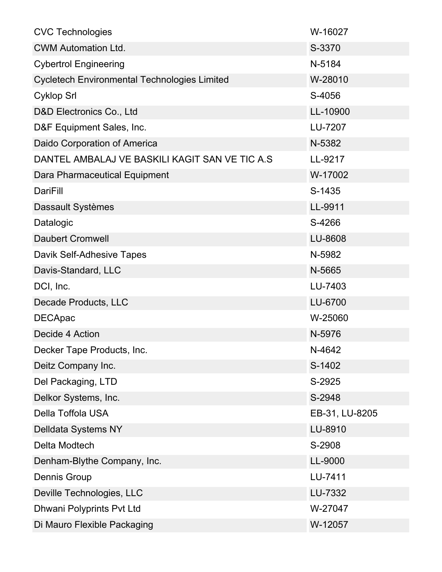| <b>CVC Technologies</b>                             | W-16027        |
|-----------------------------------------------------|----------------|
| <b>CWM Automation Ltd.</b>                          | S-3370         |
| <b>Cybertrol Engineering</b>                        | N-5184         |
| <b>Cycletech Environmental Technologies Limited</b> | W-28010        |
| <b>Cyklop Srl</b>                                   | S-4056         |
| D&D Electronics Co., Ltd                            | LL-10900       |
| D&F Equipment Sales, Inc.                           | LU-7207        |
| Daido Corporation of America                        | N-5382         |
| DANTEL AMBALAJ VE BASKILI KAGIT SAN VE TIC A.S      | LL-9217        |
| Dara Pharmaceutical Equipment                       | W-17002        |
| DariFill                                            | S-1435         |
| Dassault Systèmes                                   | LL-9911        |
| Datalogic                                           | S-4266         |
| <b>Daubert Cromwell</b>                             | LU-8608        |
| Davik Self-Adhesive Tapes                           | N-5982         |
| Davis-Standard, LLC                                 | N-5665         |
| DCI, Inc.                                           | LU-7403        |
| Decade Products, LLC                                | LU-6700        |
| <b>DECApac</b>                                      | W-25060        |
| Decide 4 Action                                     | N-5976         |
| Decker Tape Products, Inc.                          | N-4642         |
| Deitz Company Inc.                                  | S-1402         |
| Del Packaging, LTD                                  | S-2925         |
| Delkor Systems, Inc.                                | S-2948         |
| Della Toffola USA                                   | EB-31, LU-8205 |
| Delldata Systems NY                                 | LU-8910        |
| Delta Modtech                                       | S-2908         |
| Denham-Blythe Company, Inc.                         | LL-9000        |
| <b>Dennis Group</b>                                 | LU-7411        |
| Deville Technologies, LLC                           | LU-7332        |
| Dhwani Polyprints Pvt Ltd                           | W-27047        |
| Di Mauro Flexible Packaging                         | W-12057        |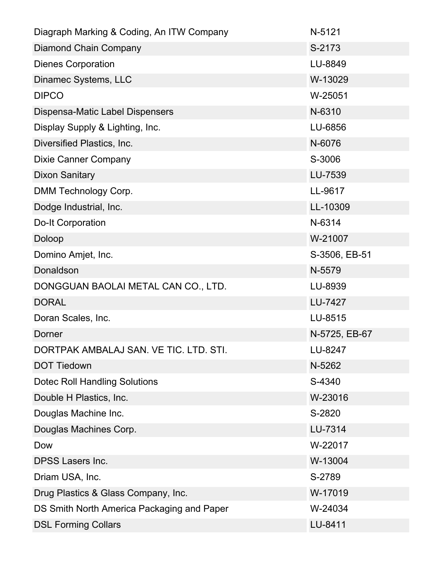| Diagraph Marking & Coding, An ITW Company  | N-5121        |
|--------------------------------------------|---------------|
| <b>Diamond Chain Company</b>               | S-2173        |
| <b>Dienes Corporation</b>                  | LU-8849       |
| Dinamec Systems, LLC                       | W-13029       |
| <b>DIPCO</b>                               | W-25051       |
| Dispensa-Matic Label Dispensers            | N-6310        |
| Display Supply & Lighting, Inc.            | LU-6856       |
| Diversified Plastics, Inc.                 | N-6076        |
| <b>Dixie Canner Company</b>                | S-3006        |
| <b>Dixon Sanitary</b>                      | LU-7539       |
| DMM Technology Corp.                       | LL-9617       |
| Dodge Industrial, Inc.                     | LL-10309      |
| <b>Do-It Corporation</b>                   | N-6314        |
| Doloop                                     | W-21007       |
| Domino Amjet, Inc.                         | S-3506, EB-51 |
| Donaldson                                  | N-5579        |
| DONGGUAN BAOLAI METAL CAN CO., LTD.        | LU-8939       |
| <b>DORAL</b>                               | LU-7427       |
| Doran Scales, Inc.                         | LU-8515       |
| Dorner                                     | N-5725, EB-67 |
| DORTPAK AMBALAJ SAN. VE TIC. LTD. STI.     | LU-8247       |
| <b>DOT Tiedown</b>                         | N-5262        |
| <b>Dotec Roll Handling Solutions</b>       | S-4340        |
| Double H Plastics, Inc.                    | W-23016       |
| Douglas Machine Inc.                       | S-2820        |
| Douglas Machines Corp.                     | LU-7314       |
| Dow                                        | W-22017       |
| <b>DPSS Lasers Inc.</b>                    | W-13004       |
| Driam USA, Inc.                            | S-2789        |
| Drug Plastics & Glass Company, Inc.        | W-17019       |
| DS Smith North America Packaging and Paper | W-24034       |
| <b>DSL Forming Collars</b>                 | LU-8411       |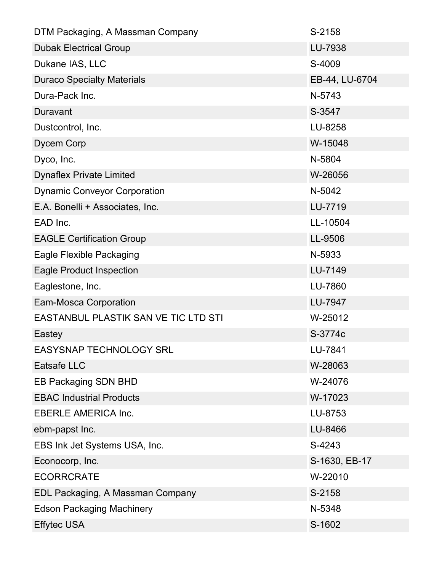| DTM Packaging, A Massman Company     | S-2158         |
|--------------------------------------|----------------|
| <b>Dubak Electrical Group</b>        | LU-7938        |
| Dukane IAS, LLC                      | S-4009         |
| <b>Duraco Specialty Materials</b>    | EB-44, LU-6704 |
| Dura-Pack Inc.                       | N-5743         |
| Duravant                             | S-3547         |
| Dustcontrol, Inc.                    | LU-8258        |
| Dycem Corp                           | W-15048        |
| Dyco, Inc.                           | N-5804         |
| <b>Dynaflex Private Limited</b>      | W-26056        |
| <b>Dynamic Conveyor Corporation</b>  | N-5042         |
| E.A. Bonelli + Associates, Inc.      | LU-7719        |
| EAD Inc.                             | LL-10504       |
| <b>EAGLE Certification Group</b>     | LL-9506        |
| Eagle Flexible Packaging             | N-5933         |
| <b>Eagle Product Inspection</b>      | LU-7149        |
| Eaglestone, Inc.                     | LU-7860        |
| <b>Eam-Mosca Corporation</b>         | LU-7947        |
| EASTANBUL PLASTIK SAN VE TIC LTD STI | W-25012        |
| Eastey                               | S-3774c        |
| <b>EASYSNAP TECHNOLOGY SRL</b>       | LU-7841        |
| <b>Eatsafe LLC</b>                   | W-28063        |
| EB Packaging SDN BHD                 | W-24076        |
| <b>EBAC Industrial Products</b>      | W-17023        |
| <b>EBERLE AMERICA Inc.</b>           | LU-8753        |
| ebm-papst Inc.                       | LU-8466        |
| EBS Ink Jet Systems USA, Inc.        | S-4243         |
| Econocorp, Inc.                      | S-1630, EB-17  |
| <b>ECORRCRATE</b>                    | W-22010        |
| EDL Packaging, A Massman Company     | S-2158         |
| <b>Edson Packaging Machinery</b>     | N-5348         |
| <b>Effytec USA</b>                   | S-1602         |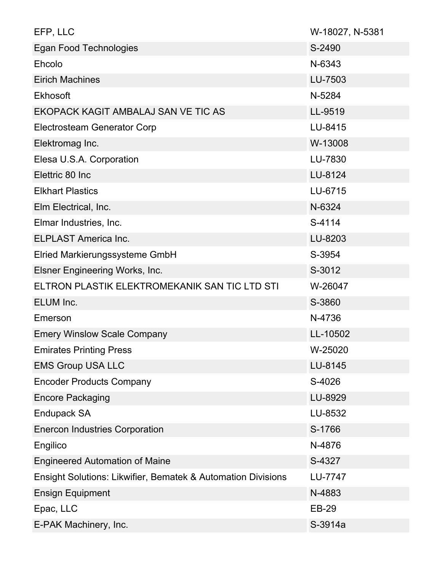| EFP, LLC                                                     | W-18027, N-5381 |
|--------------------------------------------------------------|-----------------|
| Egan Food Technologies                                       | S-2490          |
| Ehcolo                                                       | N-6343          |
| <b>Eirich Machines</b>                                       | LU-7503         |
| <b>Ekhosoft</b>                                              | N-5284          |
| EKOPACK KAGIT AMBALAJ SAN VE TIC AS                          | LL-9519         |
| <b>Electrosteam Generator Corp</b>                           | LU-8415         |
| Elektromag Inc.                                              | W-13008         |
| Elesa U.S.A. Corporation                                     | LU-7830         |
| Elettric 80 Inc                                              | LU-8124         |
| <b>Elkhart Plastics</b>                                      | LU-6715         |
| Elm Electrical, Inc.                                         | N-6324          |
| Elmar Industries, Inc.                                       | S-4114          |
| <b>ELPLAST America Inc.</b>                                  | LU-8203         |
| Elried Markierungssysteme GmbH                               | S-3954          |
| Elsner Engineering Works, Inc.                               | S-3012          |
| ELTRON PLASTIK ELEKTROMEKANIK SAN TIC LTD STI                | W-26047         |
| ELUM Inc.                                                    | S-3860          |
| Emerson                                                      | N-4736          |
| <b>Emery Winslow Scale Company</b>                           | LL-10502        |
| <b>Emirates Printing Press</b>                               | W-25020         |
| <b>EMS Group USA LLC</b>                                     | LU-8145         |
| <b>Encoder Products Company</b>                              | S-4026          |
| <b>Encore Packaging</b>                                      | LU-8929         |
| Endupack SA                                                  | LU-8532         |
| <b>Enercon Industries Corporation</b>                        | S-1766          |
| Engilico                                                     | N-4876          |
| <b>Engineered Automation of Maine</b>                        | S-4327          |
| Ensight Solutions: Likwifier, Bematek & Automation Divisions | LU-7747         |
| <b>Ensign Equipment</b>                                      | N-4883          |
| Epac, LLC                                                    | <b>EB-29</b>    |
| E-PAK Machinery, Inc.                                        | S-3914a         |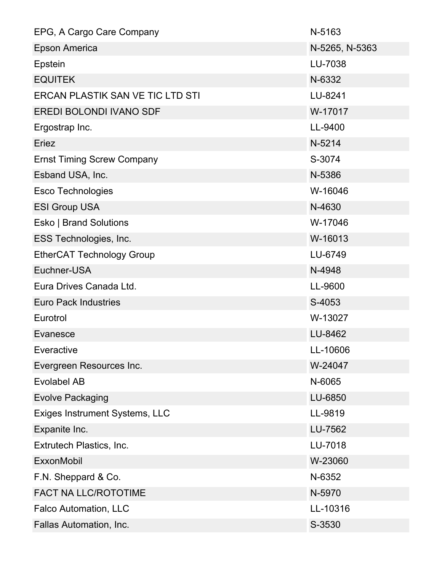| EPG, A Cargo Care Company               | N-5163         |
|-----------------------------------------|----------------|
| <b>Epson America</b>                    | N-5265, N-5363 |
| Epstein                                 | LU-7038        |
| <b>EQUITEK</b>                          | N-6332         |
| <b>ERCAN PLASTIK SAN VE TIC LTD STI</b> | LU-8241        |
| <b>EREDI BOLONDI IVANO SDF</b>          | W-17017        |
| Ergostrap Inc.                          | LL-9400        |
| Eriez                                   | N-5214         |
| <b>Ernst Timing Screw Company</b>       | S-3074         |
| Esband USA, Inc.                        | N-5386         |
| <b>Esco Technologies</b>                | W-16046        |
| <b>ESI Group USA</b>                    | N-4630         |
| <b>Esko   Brand Solutions</b>           | W-17046        |
| ESS Technologies, Inc.                  | W-16013        |
| <b>EtherCAT Technology Group</b>        | LU-6749        |
| Euchner-USA                             | N-4948         |
| Eura Drives Canada Ltd.                 | LL-9600        |
| <b>Euro Pack Industries</b>             | S-4053         |
| Eurotrol                                | W-13027        |
| Evanesce                                | LU-8462        |
| Everactive                              | LL-10606       |
| Evergreen Resources Inc.                | W-24047        |
| <b>Evolabel AB</b>                      | N-6065         |
| <b>Evolve Packaging</b>                 | LU-6850        |
| Exiges Instrument Systems, LLC          | LL-9819        |
| Expanite Inc.                           | LU-7562        |
| Extrutech Plastics, Inc.                | LU-7018        |
| <b>ExxonMobil</b>                       | W-23060        |
| F.N. Sheppard & Co.                     | N-6352         |
| <b>FACT NA LLC/ROTOTIME</b>             | N-5970         |
| Falco Automation, LLC                   | LL-10316       |
| Fallas Automation, Inc.                 | S-3530         |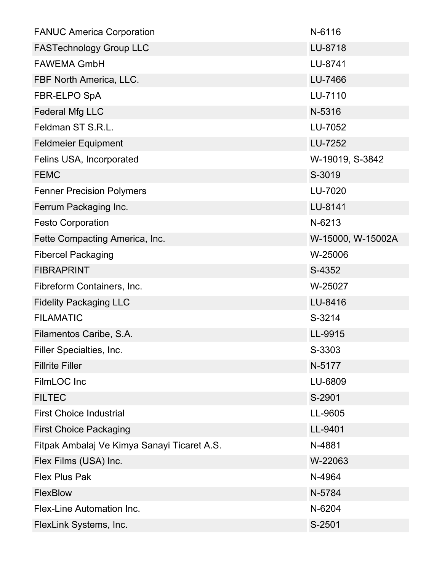| <b>FANUC America Corporation</b>            | N-6116            |
|---------------------------------------------|-------------------|
| <b>FASTechnology Group LLC</b>              | LU-8718           |
| <b>FAWEMA GmbH</b>                          | LU-8741           |
| FBF North America, LLC.                     | LU-7466           |
| FBR-ELPO SpA                                | LU-7110           |
| <b>Federal Mfg LLC</b>                      | N-5316            |
| Feldman ST S.R.L.                           | LU-7052           |
| <b>Feldmeier Equipment</b>                  | LU-7252           |
| Felins USA, Incorporated                    | W-19019, S-3842   |
| <b>FEMC</b>                                 | S-3019            |
| <b>Fenner Precision Polymers</b>            | LU-7020           |
| Ferrum Packaging Inc.                       | LU-8141           |
| <b>Festo Corporation</b>                    | N-6213            |
| Fette Compacting America, Inc.              | W-15000, W-15002A |
| <b>Fibercel Packaging</b>                   | W-25006           |
| <b>FIBRAPRINT</b>                           | S-4352            |
| Fibreform Containers, Inc.                  | W-25027           |
| <b>Fidelity Packaging LLC</b>               | LU-8416           |
| <b>FILAMATIC</b>                            | S-3214            |
| Filamentos Caribe, S.A.                     | LL-9915           |
| Filler Specialties, Inc.                    | S-3303            |
| <b>Fillrite Filler</b>                      | N-5177            |
| FilmLOC Inc                                 | LU-6809           |
| <b>FILTEC</b>                               | S-2901            |
| <b>First Choice Industrial</b>              | LL-9605           |
| <b>First Choice Packaging</b>               | LL-9401           |
| Fitpak Ambalaj Ve Kimya Sanayi Ticaret A.S. | N-4881            |
| Flex Films (USA) Inc.                       | W-22063           |
| <b>Flex Plus Pak</b>                        | N-4964            |
| FlexBlow                                    | N-5784            |
| Flex-Line Automation Inc.                   | N-6204            |
| FlexLink Systems, Inc.                      | S-2501            |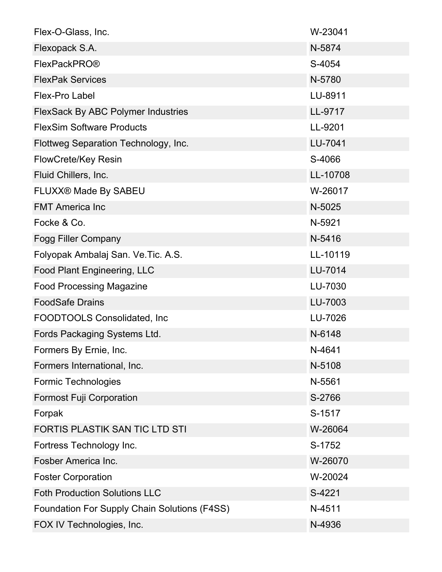| Flex-O-Glass, Inc.                                  | W-23041  |
|-----------------------------------------------------|----------|
| Flexopack S.A.                                      | N-5874   |
| <b>FlexPackPRO®</b>                                 | S-4054   |
| <b>FlexPak Services</b>                             | N-5780   |
| <b>Flex-Pro Label</b>                               | LU-8911  |
| <b>FlexSack By ABC Polymer Industries</b>           | LL-9717  |
| <b>FlexSim Software Products</b>                    | LL-9201  |
| Flottweg Separation Technology, Inc.                | LU-7041  |
| <b>FlowCrete/Key Resin</b>                          | S-4066   |
| Fluid Chillers, Inc.                                | LL-10708 |
| FLUXX® Made By SABEU                                | W-26017  |
| <b>FMT America Inc</b>                              | N-5025   |
| Focke & Co.                                         | N-5921   |
| <b>Fogg Filler Company</b>                          | N-5416   |
| Folyopak Ambalaj San. Ve.Tic. A.S.                  | LL-10119 |
| Food Plant Engineering, LLC                         | LU-7014  |
| <b>Food Processing Magazine</b>                     | LU-7030  |
| <b>FoodSafe Drains</b>                              | LU-7003  |
| FOODTOOLS Consolidated, Inc.                        | LU-7026  |
| Fords Packaging Systems Ltd.                        | N-6148   |
| Formers By Ernie, Inc.                              | N-4641   |
| Formers International, Inc.                         | N-5108   |
| <b>Formic Technologies</b>                          | N-5561   |
| <b>Formost Fuji Corporation</b>                     | S-2766   |
| Forpak                                              | S-1517   |
| FORTIS PLASTIK SAN TIC LTD STI                      | W-26064  |
| Fortress Technology Inc.                            | S-1752   |
| Fosber America Inc.                                 | W-26070  |
| <b>Foster Corporation</b>                           | W-20024  |
| <b>Foth Production Solutions LLC</b>                | S-4221   |
| <b>Foundation For Supply Chain Solutions (F4SS)</b> | N-4511   |
| FOX IV Technologies, Inc.                           | N-4936   |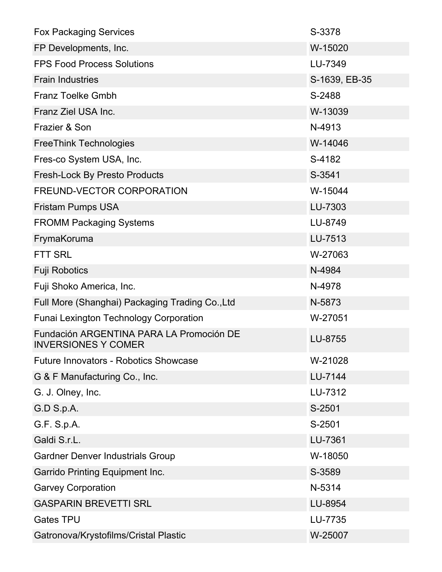| <b>Fox Packaging Services</b>                                          | S-3378        |
|------------------------------------------------------------------------|---------------|
| FP Developments, Inc.                                                  | W-15020       |
| <b>FPS Food Process Solutions</b>                                      | LU-7349       |
| <b>Frain Industries</b>                                                | S-1639, EB-35 |
| <b>Franz Toelke Gmbh</b>                                               | S-2488        |
| Franz Ziel USA Inc.                                                    | W-13039       |
| Frazier & Son                                                          | N-4913        |
| <b>FreeThink Technologies</b>                                          | W-14046       |
| Fres-co System USA, Inc.                                               | S-4182        |
| <b>Fresh-Lock By Presto Products</b>                                   | S-3541        |
| FREUND-VECTOR CORPORATION                                              | W-15044       |
| <b>Fristam Pumps USA</b>                                               | LU-7303       |
| <b>FROMM Packaging Systems</b>                                         | LU-8749       |
| FrymaKoruma                                                            | LU-7513       |
| <b>FTT SRL</b>                                                         | W-27063       |
| <b>Fuji Robotics</b>                                                   | N-4984        |
| Fuji Shoko America, Inc.                                               | N-4978        |
| Full More (Shanghai) Packaging Trading Co., Ltd                        | N-5873        |
| <b>Funai Lexington Technology Corporation</b>                          | W-27051       |
| Fundación ARGENTINA PARA LA Promoción DE<br><b>INVERSIONES Y COMER</b> | LU-8755       |
| <b>Future Innovators - Robotics Showcase</b>                           | W-21028       |
| G & F Manufacturing Co., Inc.                                          | LU-7144       |
| G. J. Olney, Inc.                                                      | LU-7312       |
| G.D S.p.A.                                                             | S-2501        |
| G.F. S.p.A.                                                            | S-2501        |
| Galdi S.r.L.                                                           | LU-7361       |
| <b>Gardner Denver Industrials Group</b>                                | W-18050       |
| <b>Garrido Printing Equipment Inc.</b>                                 | S-3589        |
| <b>Garvey Corporation</b>                                              | N-5314        |
| <b>GASPARIN BREVETTI SRL</b>                                           | LU-8954       |
| <b>Gates TPU</b>                                                       | LU-7735       |
| Gatronova/Krystofilms/Cristal Plastic                                  | W-25007       |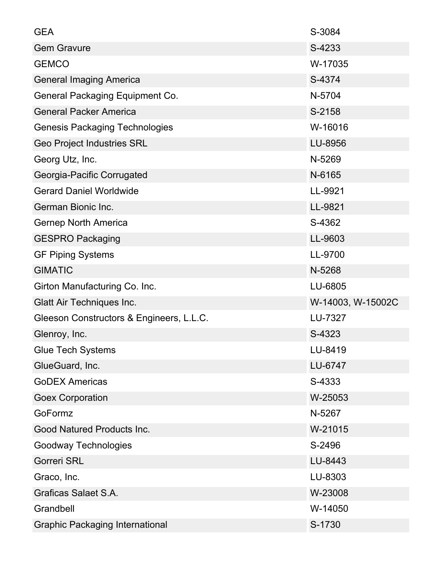| <b>GEA</b>                               | S-3084            |
|------------------------------------------|-------------------|
| <b>Gem Gravure</b>                       | S-4233            |
| <b>GEMCO</b>                             | W-17035           |
| <b>General Imaging America</b>           | S-4374            |
| General Packaging Equipment Co.          | N-5704            |
| <b>General Packer America</b>            | S-2158            |
| <b>Genesis Packaging Technologies</b>    | W-16016           |
| <b>Geo Project Industries SRL</b>        | LU-8956           |
| Georg Utz, Inc.                          | N-5269            |
| Georgia-Pacific Corrugated               | N-6165            |
| <b>Gerard Daniel Worldwide</b>           | LL-9921           |
| German Bionic Inc.                       | LL-9821           |
| <b>Gernep North America</b>              | S-4362            |
| <b>GESPRO Packaging</b>                  | LL-9603           |
| <b>GF Piping Systems</b>                 | LL-9700           |
| <b>GIMATIC</b>                           | N-5268            |
| Girton Manufacturing Co. Inc.            | LU-6805           |
| <b>Glatt Air Techniques Inc.</b>         | W-14003, W-15002C |
| Gleeson Constructors & Engineers, L.L.C. | LU-7327           |
| Glenroy, Inc.                            | S-4323            |
| <b>Glue Tech Systems</b>                 | LU-8419           |
| GlueGuard, Inc.                          | LU-6747           |
| <b>GoDEX Americas</b>                    | S-4333            |
| <b>Goex Corporation</b>                  | W-25053           |
| GoFormz                                  | N-5267            |
| Good Natured Products Inc.               | W-21015           |
| Goodway Technologies                     | S-2496            |
| <b>Gorreri SRL</b>                       | LU-8443           |
| Graco, Inc.                              | LU-8303           |
| <b>Graficas Salaet S.A.</b>              | W-23008           |
| Grandbell                                | W-14050           |
| <b>Graphic Packaging International</b>   | S-1730            |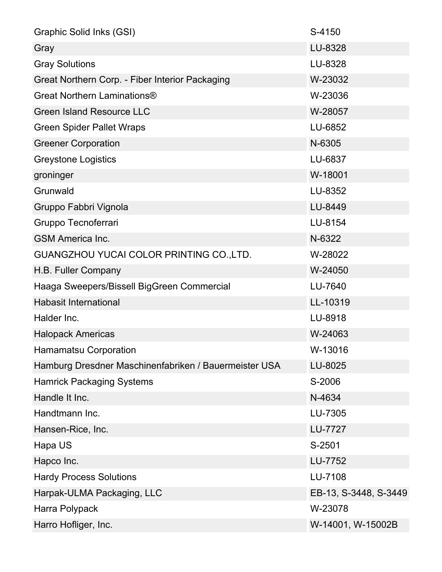| Graphic Solid Inks (GSI)                              | S-4150                |
|-------------------------------------------------------|-----------------------|
| Gray                                                  | LU-8328               |
| <b>Gray Solutions</b>                                 | LU-8328               |
| Great Northern Corp. - Fiber Interior Packaging       | W-23032               |
| Great Northern Laminations®                           | W-23036               |
| <b>Green Island Resource LLC</b>                      | W-28057               |
| <b>Green Spider Pallet Wraps</b>                      | LU-6852               |
| <b>Greener Corporation</b>                            | N-6305                |
| <b>Greystone Logistics</b>                            | LU-6837               |
| groninger                                             | W-18001               |
| Grunwald                                              | LU-8352               |
| Gruppo Fabbri Vignola                                 | LU-8449               |
| Gruppo Tecnoferrari                                   | LU-8154               |
| <b>GSM America Inc.</b>                               | N-6322                |
| GUANGZHOU YUCAI COLOR PRINTING CO., LTD.              | W-28022               |
| H.B. Fuller Company                                   | W-24050               |
| Haaga Sweepers/Bissell BigGreen Commercial            | LU-7640               |
| <b>Habasit International</b>                          | LL-10319              |
| Halder Inc.                                           | LU-8918               |
| <b>Halopack Americas</b>                              | W-24063               |
| <b>Hamamatsu Corporation</b>                          | W-13016               |
| Hamburg Dresdner Maschinenfabriken / Bauermeister USA | LU-8025               |
| <b>Hamrick Packaging Systems</b>                      | S-2006                |
| Handle It Inc.                                        | N-4634                |
| Handtmann Inc.                                        | LU-7305               |
| Hansen-Rice, Inc.                                     | LU-7727               |
| Hapa US                                               | S-2501                |
| Hapco Inc.                                            | LU-7752               |
| <b>Hardy Process Solutions</b>                        | LU-7108               |
| Harpak-ULMA Packaging, LLC                            | EB-13, S-3448, S-3449 |
| Harra Polypack                                        | W-23078               |
| Harro Hofliger, Inc.                                  | W-14001, W-15002B     |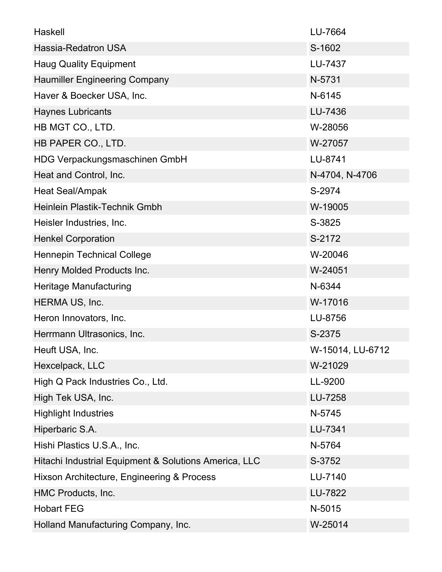| Haskell                                               | LU-7664          |
|-------------------------------------------------------|------------------|
| Hassia-Redatron USA                                   | S-1602           |
| <b>Haug Quality Equipment</b>                         | LU-7437          |
| <b>Haumiller Engineering Company</b>                  | N-5731           |
| Haver & Boecker USA, Inc.                             | N-6145           |
| <b>Haynes Lubricants</b>                              | LU-7436          |
| HB MGT CO., LTD.                                      | W-28056          |
| HB PAPER CO., LTD.                                    | W-27057          |
| HDG Verpackungsmaschinen GmbH                         | LU-8741          |
| Heat and Control, Inc.                                | N-4704, N-4706   |
| Heat Seal/Ampak                                       | S-2974           |
| Heinlein Plastik-Technik Gmbh                         | W-19005          |
| Heisler Industries, Inc.                              | S-3825           |
| <b>Henkel Corporation</b>                             | S-2172           |
| <b>Hennepin Technical College</b>                     | W-20046          |
| Henry Molded Products Inc.                            | W-24051          |
| Heritage Manufacturing                                | N-6344           |
| HERMA US, Inc.                                        | W-17016          |
| Heron Innovators, Inc.                                | LU-8756          |
| Herrmann Ultrasonics, Inc.                            | S-2375           |
| Heuft USA, Inc.                                       | W-15014, LU-6712 |
| Hexcelpack, LLC                                       | W-21029          |
| High Q Pack Industries Co., Ltd.                      | LL-9200          |
| High Tek USA, Inc.                                    | LU-7258          |
| <b>Highlight Industries</b>                           | N-5745           |
| Hiperbaric S.A.                                       | LU-7341          |
| Hishi Plastics U.S.A., Inc.                           | N-5764           |
| Hitachi Industrial Equipment & Solutions America, LLC | S-3752           |
| Hixson Architecture, Engineering & Process            | LU-7140          |
| HMC Products, Inc.                                    | LU-7822          |
| <b>Hobart FEG</b>                                     | N-5015           |
| Holland Manufacturing Company, Inc.                   | W-25014          |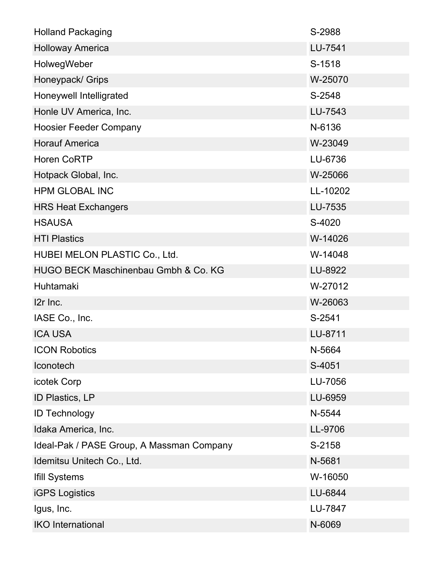| <b>Holland Packaging</b>                  | S-2988   |
|-------------------------------------------|----------|
| <b>Holloway America</b>                   | LU-7541  |
| HolwegWeber                               | S-1518   |
| Honeypack/ Grips                          | W-25070  |
| Honeywell Intelligrated                   | S-2548   |
| Honle UV America, Inc.                    | LU-7543  |
| <b>Hoosier Feeder Company</b>             | N-6136   |
| <b>Horauf America</b>                     | W-23049  |
| <b>Horen CoRTP</b>                        | LU-6736  |
| Hotpack Global, Inc.                      | W-25066  |
| <b>HPM GLOBAL INC</b>                     | LL-10202 |
| <b>HRS Heat Exchangers</b>                | LU-7535  |
| <b>HSAUSA</b>                             | S-4020   |
| <b>HTI Plastics</b>                       | W-14026  |
| HUBEI MELON PLASTIC Co., Ltd.             | W-14048  |
| HUGO BECK Maschinenbau Gmbh & Co. KG      | LU-8922  |
| Huhtamaki                                 | W-27012  |
| I2r Inc.                                  | W-26063  |
| IASE Co., Inc.                            | S-2541   |
| <b>ICA USA</b>                            | LU-8711  |
| <b>ICON Robotics</b>                      | N-5664   |
| Iconotech                                 | S-4051   |
| icotek Corp                               | LU-7056  |
| ID Plastics, LP                           | LU-6959  |
| <b>ID Technology</b>                      | N-5544   |
| Idaka America, Inc.                       | LL-9706  |
| Ideal-Pak / PASE Group, A Massman Company | S-2158   |
| Idemitsu Unitech Co., Ltd.                | N-5681   |
| <b>Ifill Systems</b>                      | W-16050  |
| <b>iGPS Logistics</b>                     | LU-6844  |
| Igus, Inc.                                | LU-7847  |
| <b>IKO</b> International                  | N-6069   |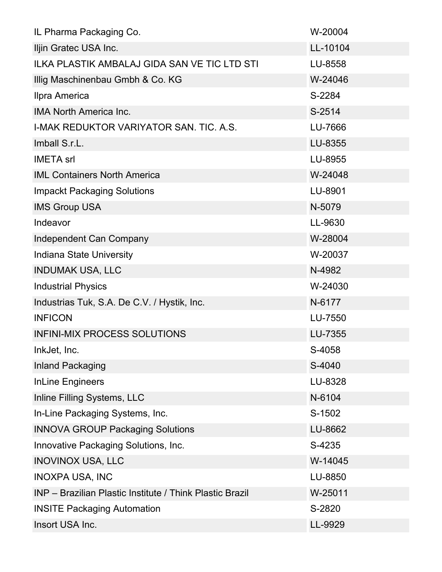| IL Pharma Packaging Co.                                  | W-20004  |
|----------------------------------------------------------|----------|
| Iljin Gratec USA Inc.                                    | LL-10104 |
| <b>ILKA PLASTIK AMBALAJ GIDA SAN VE TIC LTD STI</b>      | LU-8558  |
| Illig Maschinenbau Gmbh & Co. KG                         | W-24046  |
| Ilpra America                                            | S-2284   |
| <b>IMA North America Inc.</b>                            | S-2514   |
| I-MAK REDUKTOR VARIYATOR SAN. TIC. A.S.                  | LU-7666  |
| Imball S.r.L.                                            | LU-8355  |
| <b>IMETA</b> srl                                         | LU-8955  |
| <b>IML Containers North America</b>                      | W-24048  |
| <b>Impackt Packaging Solutions</b>                       | LU-8901  |
| <b>IMS Group USA</b>                                     | N-5079   |
| Indeavor                                                 | LL-9630  |
| Independent Can Company                                  | W-28004  |
| Indiana State University                                 | W-20037  |
| <b>INDUMAK USA, LLC</b>                                  | N-4982   |
| <b>Industrial Physics</b>                                | W-24030  |
| Industrias Tuk, S.A. De C.V. / Hystik, Inc.              | N-6177   |
| <b>INFICON</b>                                           | LU-7550  |
| <b>INFINI-MIX PROCESS SOLUTIONS</b>                      | LU-7355  |
| InkJet, Inc.                                             | S-4058   |
| Inland Packaging                                         | S-4040   |
| <b>InLine Engineers</b>                                  | LU-8328  |
| Inline Filling Systems, LLC                              | N-6104   |
| In-Line Packaging Systems, Inc.                          | S-1502   |
| <b>INNOVA GROUP Packaging Solutions</b>                  | LU-8662  |
| Innovative Packaging Solutions, Inc.                     | S-4235   |
| <b>INOVINOX USA, LLC</b>                                 | W-14045  |
| <b>INOXPA USA, INC</b>                                   | LU-8850  |
| INP - Brazilian Plastic Institute / Think Plastic Brazil | W-25011  |
| <b>INSITE Packaging Automation</b>                       | S-2820   |
| Insort USA Inc.                                          | LL-9929  |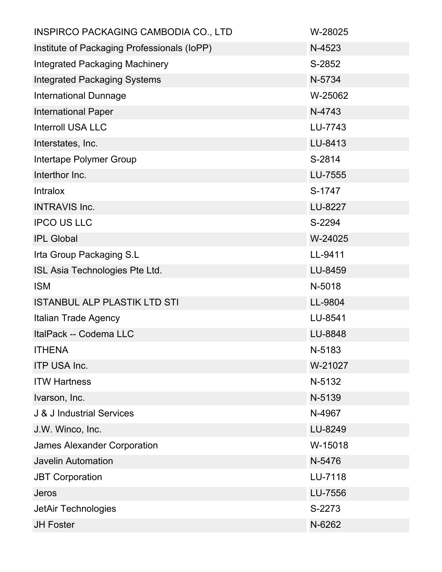| <b>INSPIRCO PACKAGING CAMBODIA CO., LTD</b> | W-28025 |
|---------------------------------------------|---------|
| Institute of Packaging Professionals (IoPP) | N-4523  |
| <b>Integrated Packaging Machinery</b>       | S-2852  |
| <b>Integrated Packaging Systems</b>         | N-5734  |
| <b>International Dunnage</b>                | W-25062 |
| <b>International Paper</b>                  | N-4743  |
| <b>Interroll USA LLC</b>                    | LU-7743 |
| Interstates, Inc.                           | LU-8413 |
| Intertape Polymer Group                     | S-2814  |
| Interthor Inc.                              | LU-7555 |
| <b>Intralox</b>                             | S-1747  |
| <b>INTRAVIS Inc.</b>                        | LU-8227 |
| <b>IPCO US LLC</b>                          | S-2294  |
| <b>IPL Global</b>                           | W-24025 |
| Irta Group Packaging S.L                    | LL-9411 |
| ISL Asia Technologies Pte Ltd.              | LU-8459 |
| <b>ISM</b>                                  | N-5018  |
| <b>ISTANBUL ALP PLASTIK LTD STI</b>         | LL-9804 |
| Italian Trade Agency                        | LU-8541 |
| ItalPack -- Codema LLC                      | LU-8848 |
| <b>ITHENA</b>                               | N-5183  |
| <b>ITP USA Inc.</b>                         | W-21027 |
| <b>ITW Hartness</b>                         | N-5132  |
| Ivarson, Inc.                               | N-5139  |
| <b>J &amp; J Industrial Services</b>        | N-4967  |
| J.W. Winco, Inc.                            | LU-8249 |
| <b>James Alexander Corporation</b>          | W-15018 |
| <b>Javelin Automation</b>                   | N-5476  |
| <b>JBT Corporation</b>                      | LU-7118 |
| Jeros                                       | LU-7556 |
| JetAir Technologies                         | S-2273  |
| <b>JH Foster</b>                            | N-6262  |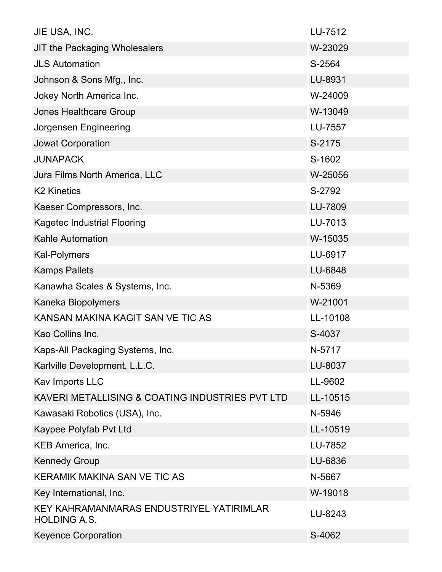| JIE USA, INC.                                                   | LU-7512  |
|-----------------------------------------------------------------|----------|
| <b>JIT the Packaging Wholesalers</b>                            | W-23029  |
| <b>JLS Automation</b>                                           | S-2564   |
| Johnson & Sons Mfg., Inc.                                       | LU-8931  |
| Jokey North America Inc.                                        | W-24009  |
| <b>Jones Healthcare Group</b>                                   | W-13049  |
| Jorgensen Engineering                                           | LU-7557  |
| <b>Jowat Corporation</b>                                        | S-2175   |
| <b>JUNAPACK</b>                                                 | S-1602   |
| Jura Films North America, LLC                                   | W-25056  |
| <b>K2 Kinetics</b>                                              | S-2792   |
| Kaeser Compressors, Inc.                                        | LU-7809  |
| <b>Kagetec Industrial Flooring</b>                              | LU-7013  |
| <b>Kahle Automation</b>                                         | W-15035  |
| Kal-Polymers                                                    | LU-6917  |
| <b>Kamps Pallets</b>                                            | LU-6848  |
| Kanawha Scales & Systems, Inc.                                  | N-5369   |
| Kaneka Biopolymers                                              | W-21001  |
| KANSAN MAKINA KAGIT SAN VE TIC AS                               | LL-10108 |
| Kao Collins Inc.                                                | S-4037   |
| Kaps-All Packaging Systems, Inc.                                | N-5717   |
| Karlville Development, L.L.C.                                   | LU-8037  |
| Kav Imports LLC                                                 | LL-9602  |
| KAVERI METALLISING & COATING INDUSTRIES PVT LTD                 | LL-10515 |
| Kawasaki Robotics (USA), Inc.                                   | N-5946   |
| Kaypee Polyfab Pvt Ltd                                          | LL-10519 |
| KEB America, Inc.                                               | LU-7852  |
| <b>Kennedy Group</b>                                            | LU-6836  |
| <b>KERAMIK MAKINA SAN VE TIC AS</b>                             | N-5667   |
| Key International, Inc.                                         | W-19018  |
| KEY KAHRAMANMARAS ENDUSTRIYEL YATIRIMLAR<br><b>HOLDING A.S.</b> | LU-8243  |
| <b>Keyence Corporation</b>                                      | S-4062   |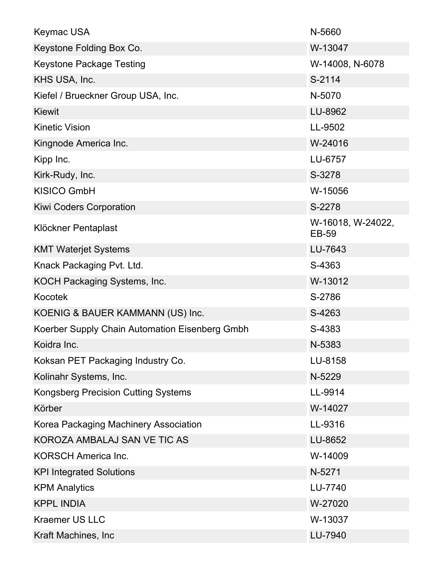| <b>Keymac USA</b>                              | N-5660                            |
|------------------------------------------------|-----------------------------------|
| Keystone Folding Box Co.                       | W-13047                           |
| <b>Keystone Package Testing</b>                | W-14008, N-6078                   |
| KHS USA, Inc.                                  | S-2114                            |
| Kiefel / Brueckner Group USA, Inc.             | N-5070                            |
| <b>Kiewit</b>                                  | LU-8962                           |
| <b>Kinetic Vision</b>                          | LL-9502                           |
| Kingnode America Inc.                          | W-24016                           |
| Kipp Inc.                                      | LU-6757                           |
| Kirk-Rudy, Inc.                                | S-3278                            |
| <b>KISICO GmbH</b>                             | W-15056                           |
| <b>Kiwi Coders Corporation</b>                 | S-2278                            |
| Klöckner Pentaplast                            | W-16018, W-24022,<br><b>EB-59</b> |
| <b>KMT Waterjet Systems</b>                    | LU-7643                           |
| Knack Packaging Pvt. Ltd.                      | S-4363                            |
| KOCH Packaging Systems, Inc.                   | W-13012                           |
| Kocotek                                        | S-2786                            |
| KOENIG & BAUER KAMMANN (US) Inc.               | S-4263                            |
| Koerber Supply Chain Automation Eisenberg Gmbh | S-4383                            |
| Koidra Inc.                                    | N-5383                            |
| Koksan PET Packaging Industry Co.              | LU-8158                           |
| Kolinahr Systems, Inc.                         | N-5229                            |
| <b>Kongsberg Precision Cutting Systems</b>     | LL-9914                           |
| Körber                                         | W-14027                           |
| Korea Packaging Machinery Association          | LL-9316                           |
| KOROZA AMBALAJ SAN VE TIC AS                   | LU-8652                           |
| <b>KORSCH America Inc.</b>                     | W-14009                           |
| <b>KPI Integrated Solutions</b>                | N-5271                            |
| <b>KPM Analytics</b>                           | LU-7740                           |
| <b>KPPL INDIA</b>                              | W-27020                           |
| <b>Kraemer US LLC</b>                          | W-13037                           |
| Kraft Machines, Inc                            | LU-7940                           |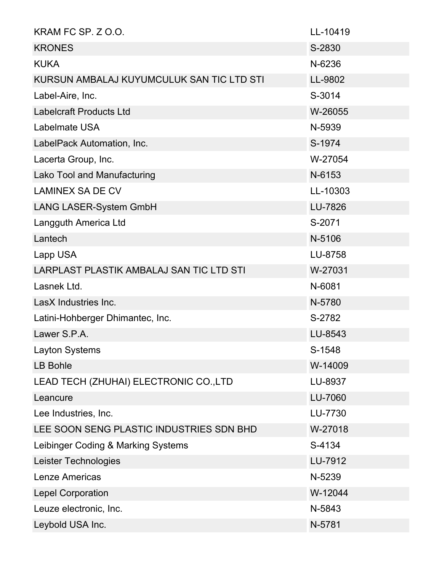| KRAM FC SP. Z O.O.                        | LL-10419 |
|-------------------------------------------|----------|
| <b>KRONES</b>                             | S-2830   |
| <b>KUKA</b>                               | N-6236   |
| KURSUN AMBALAJ KUYUMCULUK SAN TIC LTD STI | LL-9802  |
| Label-Aire, Inc.                          | S-3014   |
| <b>Labelcraft Products Ltd</b>            | W-26055  |
| <b>Labelmate USA</b>                      | N-5939   |
| LabelPack Automation, Inc.                | S-1974   |
| Lacerta Group, Inc.                       | W-27054  |
| Lako Tool and Manufacturing               | N-6153   |
| <b>LAMINEX SA DE CV</b>                   | LL-10303 |
| LANG LASER-System GmbH                    | LU-7826  |
| Langguth America Ltd                      | S-2071   |
| Lantech                                   | N-5106   |
| Lapp USA                                  | LU-8758  |
| LARPLAST PLASTIK AMBALAJ SAN TIC LTD STI  | W-27031  |
| Lasnek Ltd.                               | N-6081   |
| LasX Industries Inc.                      | N-5780   |
| Latini-Hohberger Dhimantec, Inc.          | S-2782   |
| Lawer S.P.A.                              | LU-8543  |
| Layton Systems                            | S-1548   |
| <b>LB Bohle</b>                           | W-14009  |
| LEAD TECH (ZHUHAI) ELECTRONIC CO.,LTD     | LU-8937  |
| Leancure                                  | LU-7060  |
| Lee Industries, Inc.                      | LU-7730  |
| LEE SOON SENG PLASTIC INDUSTRIES SDN BHD  | W-27018  |
| Leibinger Coding & Marking Systems        | S-4134   |
| Leister Technologies                      | LU-7912  |
| <b>Lenze Americas</b>                     | N-5239   |
| <b>Lepel Corporation</b>                  | W-12044  |
| Leuze electronic, Inc.                    | N-5843   |
| Leybold USA Inc.                          | N-5781   |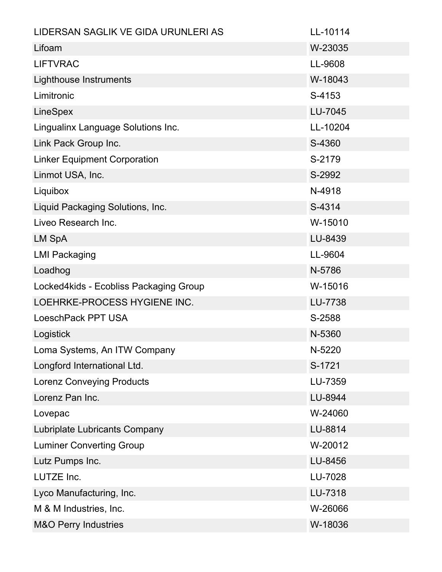| LIDERSAN SAGLIK VE GIDA URUNLERI AS    | LL-10114 |
|----------------------------------------|----------|
| Lifoam                                 | W-23035  |
| <b>LIFTVRAC</b>                        | LL-9608  |
| Lighthouse Instruments                 | W-18043  |
| Limitronic                             | S-4153   |
| LineSpex                               | LU-7045  |
| Lingualinx Language Solutions Inc.     | LL-10204 |
| Link Pack Group Inc.                   | S-4360   |
| <b>Linker Equipment Corporation</b>    | S-2179   |
| Linmot USA, Inc.                       | S-2992   |
| Liquibox                               | N-4918   |
| Liquid Packaging Solutions, Inc.       | S-4314   |
| Liveo Research Inc.                    | W-15010  |
| <b>LM SpA</b>                          | LU-8439  |
| <b>LMI Packaging</b>                   | LL-9604  |
| Loadhog                                | N-5786   |
| Locked4kids - Ecobliss Packaging Group | W-15016  |
| LOEHRKE-PROCESS HYGIENE INC.           | LU-7738  |
| LoeschPack PPT USA                     | S-2588   |
| Logistick                              | N-5360   |
| Loma Systems, An ITW Company           | N-5220   |
| Longford International Ltd.            | S-1721   |
| <b>Lorenz Conveying Products</b>       | LU-7359  |
| Lorenz Pan Inc.                        | LU-8944  |
| Lovepac                                | W-24060  |
| Lubriplate Lubricants Company          | LU-8814  |
| <b>Luminer Converting Group</b>        | W-20012  |
| Lutz Pumps Inc.                        | LU-8456  |
| LUTZE Inc.                             | LU-7028  |
| Lyco Manufacturing, Inc.               | LU-7318  |
| M & M Industries, Inc.                 | W-26066  |
| <b>M&amp;O Perry Industries</b>        | W-18036  |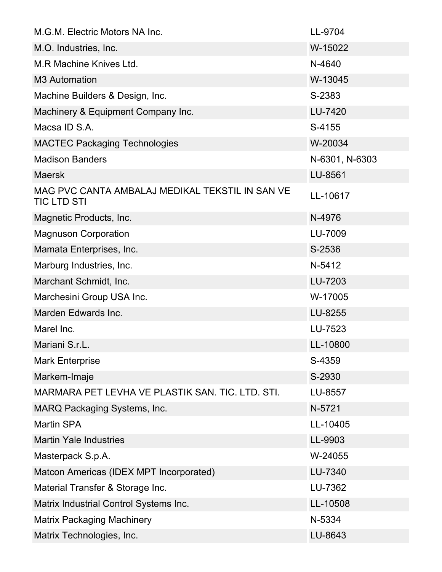| M.G.M. Electric Motors NA Inc.                                        | LL-9704        |
|-----------------------------------------------------------------------|----------------|
| M.O. Industries, Inc.                                                 | W-15022        |
| M.R Machine Knives Ltd.                                               | N-4640         |
| <b>M3 Automation</b>                                                  | W-13045        |
| Machine Builders & Design, Inc.                                       | S-2383         |
| Machinery & Equipment Company Inc.                                    | LU-7420        |
| Macsa ID S.A.                                                         | S-4155         |
| <b>MACTEC Packaging Technologies</b>                                  | W-20034        |
| <b>Madison Banders</b>                                                | N-6301, N-6303 |
| <b>Maersk</b>                                                         | LU-8561        |
| MAG PVC CANTA AMBALAJ MEDIKAL TEKSTIL IN SAN VE<br><b>TIC LTD STI</b> | LL-10617       |
| Magnetic Products, Inc.                                               | N-4976         |
| <b>Magnuson Corporation</b>                                           | LU-7009        |
| Mamata Enterprises, Inc.                                              | S-2536         |
| Marburg Industries, Inc.                                              | N-5412         |
| Marchant Schmidt, Inc.                                                | LU-7203        |
| Marchesini Group USA Inc.                                             | W-17005        |
| Marden Edwards Inc.                                                   | LU-8255        |
| Marel Inc.                                                            | LU-7523        |
| Mariani S.r.L.                                                        | LL-10800       |
| <b>Mark Enterprise</b>                                                | S-4359         |
| Markem-Imaje                                                          | S-2930         |
| MARMARA PET LEVHA VE PLASTIK SAN. TIC. LTD. STI.                      | LU-8557        |
| <b>MARQ Packaging Systems, Inc.</b>                                   | N-5721         |
| <b>Martin SPA</b>                                                     | LL-10405       |
| <b>Martin Yale Industries</b>                                         | LL-9903        |
| Masterpack S.p.A.                                                     | W-24055        |
| Matcon Americas (IDEX MPT Incorporated)                               | LU-7340        |
| Material Transfer & Storage Inc.                                      | LU-7362        |
| Matrix Industrial Control Systems Inc.                                | LL-10508       |
| <b>Matrix Packaging Machinery</b>                                     | N-5334         |
| Matrix Technologies, Inc.                                             | LU-8643        |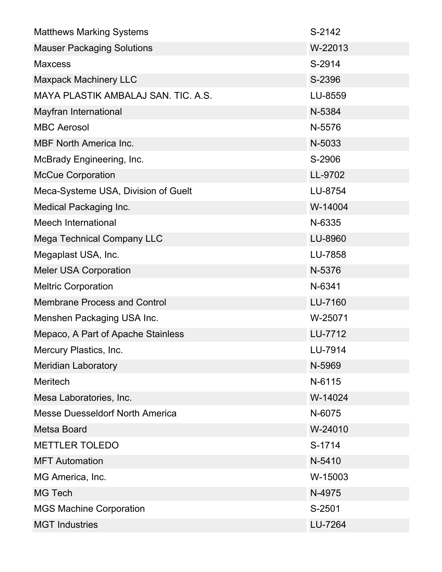| <b>Matthews Marking Systems</b>        | S-2142  |
|----------------------------------------|---------|
| <b>Mauser Packaging Solutions</b>      | W-22013 |
| <b>Maxcess</b>                         | S-2914  |
| <b>Maxpack Machinery LLC</b>           | S-2396  |
| MAYA PLASTIK AMBALAJ SAN. TIC. A.S.    | LU-8559 |
| Mayfran International                  | N-5384  |
| <b>MBC Aerosol</b>                     | N-5576  |
| <b>MBF North America Inc.</b>          | N-5033  |
| McBrady Engineering, Inc.              | S-2906  |
| <b>McCue Corporation</b>               | LL-9702 |
| Meca-Systeme USA, Division of Guelt    | LU-8754 |
| <b>Medical Packaging Inc.</b>          | W-14004 |
| Meech International                    | N-6335  |
| <b>Mega Technical Company LLC</b>      | LU-8960 |
| Megaplast USA, Inc.                    | LU-7858 |
| <b>Meler USA Corporation</b>           | N-5376  |
| <b>Meltric Corporation</b>             | N-6341  |
| <b>Membrane Process and Control</b>    | LU-7160 |
| Menshen Packaging USA Inc.             | W-25071 |
| Mepaco, A Part of Apache Stainless     | LU-7712 |
| Mercury Plastics, Inc.                 | LU-7914 |
| <b>Meridian Laboratory</b>             | N-5969  |
| <b>Meritech</b>                        | N-6115  |
| Mesa Laboratories, Inc.                | W-14024 |
| <b>Messe Duesseldorf North America</b> | N-6075  |
| <b>Metsa Board</b>                     | W-24010 |
| <b>METTLER TOLEDO</b>                  | S-1714  |
| <b>MFT Automation</b>                  | N-5410  |
| MG America, Inc.                       | W-15003 |
| <b>MG Tech</b>                         | N-4975  |
| <b>MGS Machine Corporation</b>         | S-2501  |
| <b>MGT Industries</b>                  | LU-7264 |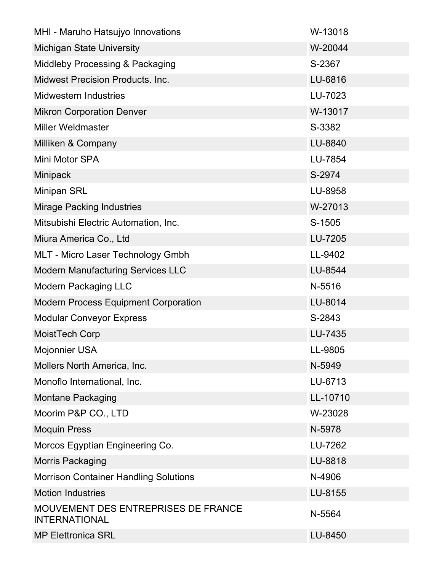| MHI - Maruho Hatsujyo Innovations                           | W-13018  |
|-------------------------------------------------------------|----------|
| <b>Michigan State University</b>                            | W-20044  |
| Middleby Processing & Packaging                             | S-2367   |
| <b>Midwest Precision Products. Inc.</b>                     | LU-6816  |
| <b>Midwestern Industries</b>                                | LU-7023  |
| <b>Mikron Corporation Denver</b>                            | W-13017  |
| <b>Miller Weldmaster</b>                                    | S-3382   |
| Milliken & Company                                          | LU-8840  |
| Mini Motor SPA                                              | LU-7854  |
| Minipack                                                    | S-2974   |
| <b>Minipan SRL</b>                                          | LU-8958  |
| <b>Mirage Packing Industries</b>                            | W-27013  |
| Mitsubishi Electric Automation, Inc.                        | S-1505   |
| Miura America Co., Ltd                                      | LU-7205  |
| <b>MLT - Micro Laser Technology Gmbh</b>                    | LL-9402  |
| <b>Modern Manufacturing Services LLC</b>                    | LU-8544  |
| <b>Modern Packaging LLC</b>                                 | N-5516   |
| <b>Modern Process Equipment Corporation</b>                 | LU-8014  |
| <b>Modular Conveyor Express</b>                             | S-2843   |
| MoistTech Corp                                              | LU-7435  |
| <b>Mojonnier USA</b>                                        | LL-9805  |
| Mollers North America, Inc.                                 | N-5949   |
| Monoflo International, Inc.                                 | LU-6713  |
| <b>Montane Packaging</b>                                    | LL-10710 |
| Moorim P&P CO., LTD                                         | W-23028  |
| <b>Moquin Press</b>                                         | N-5978   |
| Morcos Egyptian Engineering Co.                             | LU-7262  |
| <b>Morris Packaging</b>                                     | LU-8818  |
| <b>Morrison Container Handling Solutions</b>                | N-4906   |
| <b>Motion Industries</b>                                    | LU-8155  |
| MOUVEMENT DES ENTREPRISES DE FRANCE<br><b>INTERNATIONAL</b> | N-5564   |
| <b>MP Elettronica SRL</b>                                   | LU-8450  |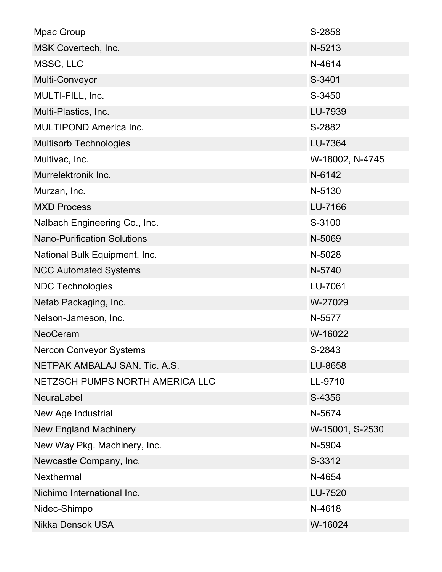| Mpac Group                         | S-2858          |
|------------------------------------|-----------------|
| MSK Covertech, Inc.                | N-5213          |
| MSSC, LLC                          | N-4614          |
| Multi-Conveyor                     | S-3401          |
| MULTI-FILL, Inc.                   | S-3450          |
| Multi-Plastics, Inc.               | LU-7939         |
| <b>MULTIPOND America Inc.</b>      | S-2882          |
| <b>Multisorb Technologies</b>      | LU-7364         |
| Multivac, Inc.                     | W-18002, N-4745 |
| Murrelektronik Inc.                | N-6142          |
| Murzan, Inc.                       | N-5130          |
| <b>MXD Process</b>                 | LU-7166         |
| Nalbach Engineering Co., Inc.      | S-3100          |
| <b>Nano-Purification Solutions</b> | N-5069          |
| National Bulk Equipment, Inc.      | N-5028          |
| <b>NCC Automated Systems</b>       | N-5740          |
| <b>NDC Technologies</b>            | LU-7061         |
| Nefab Packaging, Inc.              | W-27029         |
| Nelson-Jameson, Inc.               | N-5577          |
| <b>NeoCeram</b>                    | W-16022         |
| <b>Nercon Conveyor Systems</b>     | S-2843          |
| NETPAK AMBALAJ SAN. Tic. A.S.      | LU-8658         |
| NETZSCH PUMPS NORTH AMERICA LLC    | LL-9710         |
| <b>NeuraLabel</b>                  | S-4356          |
| New Age Industrial                 | N-5674          |
| <b>New England Machinery</b>       | W-15001, S-2530 |
| New Way Pkg. Machinery, Inc.       | N-5904          |
| Newcastle Company, Inc.            | S-3312          |
| <b>Nexthermal</b>                  | N-4654          |
| Nichimo International Inc.         | LU-7520         |
| Nidec-Shimpo                       | N-4618          |
| <b>Nikka Densok USA</b>            | W-16024         |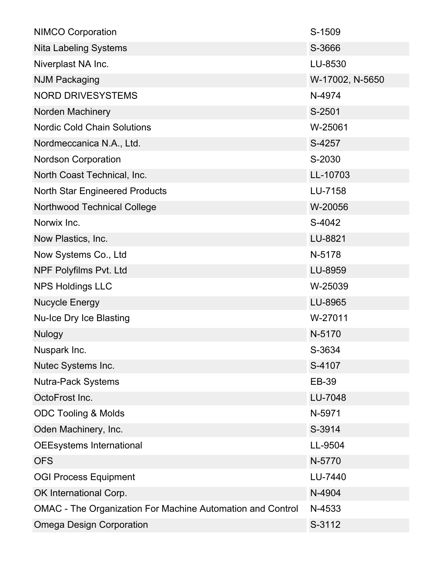| <b>NIMCO Corporation</b>                                          | S-1509          |
|-------------------------------------------------------------------|-----------------|
| <b>Nita Labeling Systems</b>                                      | S-3666          |
| Niverplast NA Inc.                                                | LU-8530         |
| <b>NJM Packaging</b>                                              | W-17002, N-5650 |
| <b>NORD DRIVESYSTEMS</b>                                          | N-4974          |
| Norden Machinery                                                  | S-2501          |
| <b>Nordic Cold Chain Solutions</b>                                | W-25061         |
| Nordmeccanica N.A., Ltd.                                          | S-4257          |
| <b>Nordson Corporation</b>                                        | S-2030          |
| North Coast Technical, Inc.                                       | LL-10703        |
| <b>North Star Engineered Products</b>                             | LU-7158         |
| <b>Northwood Technical College</b>                                | W-20056         |
| Norwix Inc.                                                       | S-4042          |
| Now Plastics, Inc.                                                | LU-8821         |
| Now Systems Co., Ltd                                              | N-5178          |
| NPF Polyfilms Pvt. Ltd                                            | LU-8959         |
| <b>NPS Holdings LLC</b>                                           | W-25039         |
| <b>Nucycle Energy</b>                                             | LU-8965         |
| <b>Nu-Ice Dry Ice Blasting</b>                                    | W-27011         |
| <b>Nulogy</b>                                                     | N-5170          |
| Nuspark Inc.                                                      | S-3634          |
| Nutec Systems Inc.                                                | S-4107          |
| <b>Nutra-Pack Systems</b>                                         | EB-39           |
| OctoFrost Inc.                                                    | LU-7048         |
| <b>ODC Tooling &amp; Molds</b>                                    | N-5971          |
| Oden Machinery, Inc.                                              | S-3914          |
| <b>OEEsystems International</b>                                   | LL-9504         |
| <b>OFS</b>                                                        | N-5770          |
| <b>OGI Process Equipment</b>                                      | LU-7440         |
| OK International Corp.                                            | N-4904          |
| <b>OMAC</b> - The Organization For Machine Automation and Control | N-4533          |
| <b>Omega Design Corporation</b>                                   | S-3112          |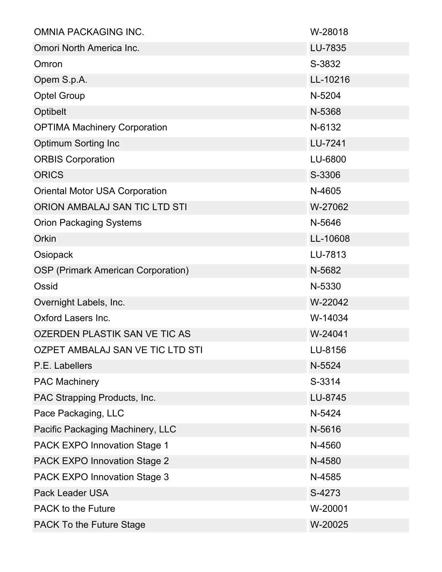| OMNIA PACKAGING INC.                      | W-28018  |
|-------------------------------------------|----------|
| Omori North America Inc.                  | LU-7835  |
| Omron                                     | S-3832   |
| Opem S.p.A.                               | LL-10216 |
| <b>Optel Group</b>                        | N-5204   |
| Optibelt                                  | N-5368   |
| <b>OPTIMA Machinery Corporation</b>       | N-6132   |
| <b>Optimum Sorting Inc</b>                | LU-7241  |
| <b>ORBIS Corporation</b>                  | LU-6800  |
| <b>ORICS</b>                              | S-3306   |
| <b>Oriental Motor USA Corporation</b>     | N-4605   |
| ORION AMBALAJ SAN TIC LTD STI             | W-27062  |
| <b>Orion Packaging Systems</b>            | N-5646   |
| Orkin                                     | LL-10608 |
| Osiopack                                  | LU-7813  |
| <b>OSP (Primark American Corporation)</b> | N-5682   |
| Ossid                                     | N-5330   |
| Overnight Labels, Inc.                    | W-22042  |
| <b>Oxford Lasers Inc.</b>                 | W-14034  |
| OZERDEN PLASTIK SAN VE TIC AS             | W-24041  |
| OZPET AMBALAJ SAN VE TIC LTD STI          | LU-8156  |
| P.E. Labellers                            | N-5524   |
| <b>PAC Machinery</b>                      | S-3314   |
| PAC Strapping Products, Inc.              | LU-8745  |
| Pace Packaging, LLC                       | N-5424   |
| Pacific Packaging Machinery, LLC          | N-5616   |
| <b>PACK EXPO Innovation Stage 1</b>       | N-4560   |
| <b>PACK EXPO Innovation Stage 2</b>       | N-4580   |
| <b>PACK EXPO Innovation Stage 3</b>       | N-4585   |
| <b>Pack Leader USA</b>                    | S-4273   |
| <b>PACK to the Future</b>                 | W-20001  |
| <b>PACK To the Future Stage</b>           | W-20025  |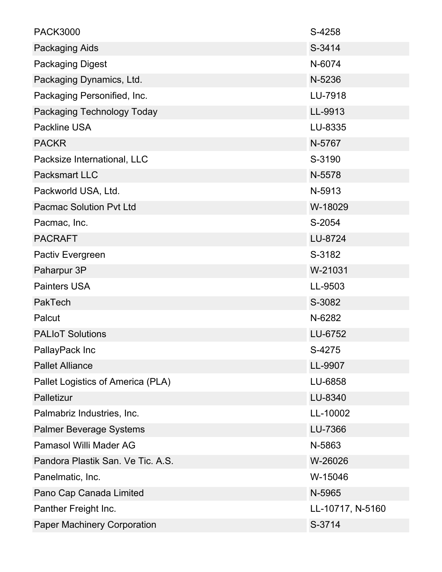| <b>PACK3000</b>                    | S-4258           |
|------------------------------------|------------------|
| <b>Packaging Aids</b>              | S-3414           |
| <b>Packaging Digest</b>            | N-6074           |
| Packaging Dynamics, Ltd.           | N-5236           |
| Packaging Personified, Inc.        | LU-7918          |
| Packaging Technology Today         | LL-9913          |
| <b>Packline USA</b>                | LU-8335          |
| <b>PACKR</b>                       | N-5767           |
| Packsize International, LLC        | S-3190           |
| <b>Packsmart LLC</b>               | N-5578           |
| Packworld USA, Ltd.                | N-5913           |
| <b>Pacmac Solution Pyt Ltd</b>     | W-18029          |
| Pacmac, Inc.                       | S-2054           |
| <b>PACRAFT</b>                     | LU-8724          |
| Pactiv Evergreen                   | S-3182           |
| Paharpur 3P                        | W-21031          |
| <b>Painters USA</b>                | LL-9503          |
| PakTech                            | S-3082           |
| Palcut                             | N-6282           |
| <b>PALIoT Solutions</b>            | LU-6752          |
| PallayPack Inc                     | S-4275           |
| <b>Pallet Alliance</b>             | LL-9907          |
| Pallet Logistics of America (PLA)  | LU-6858          |
| Palletizur                         | LU-8340          |
| Palmabriz Industries, Inc.         | LL-10002         |
| <b>Palmer Beverage Systems</b>     | LU-7366          |
| <b>Pamasol Willi Mader AG</b>      | N-5863           |
| Pandora Plastik San. Ve Tic. A.S.  | W-26026          |
| Panelmatic, Inc.                   | W-15046          |
| Pano Cap Canada Limited            | N-5965           |
| Panther Freight Inc.               | LL-10717, N-5160 |
| <b>Paper Machinery Corporation</b> | S-3714           |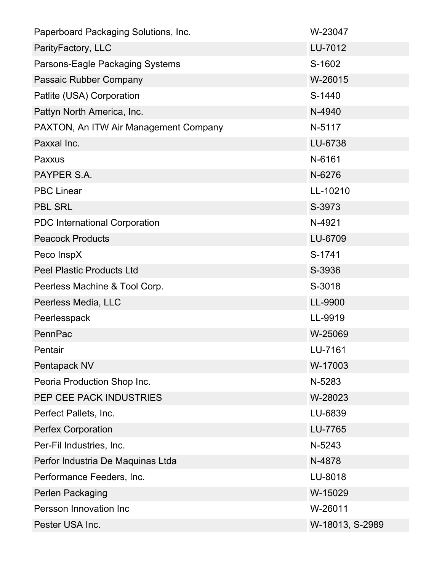| Paperboard Packaging Solutions, Inc.  | W-23047         |
|---------------------------------------|-----------------|
| ParityFactory, LLC                    | LU-7012         |
| Parsons-Eagle Packaging Systems       | S-1602          |
| Passaic Rubber Company                | W-26015         |
| Patlite (USA) Corporation             | S-1440          |
| Pattyn North America, Inc.            | N-4940          |
| PAXTON, An ITW Air Management Company | N-5117          |
| Paxxal Inc.                           | LU-6738         |
| Paxxus                                | N-6161          |
| PAYPER S.A.                           | N-6276          |
| <b>PBC Linear</b>                     | LL-10210        |
| <b>PBL SRL</b>                        | S-3973          |
| <b>PDC</b> International Corporation  | N-4921          |
| <b>Peacock Products</b>               | LU-6709         |
| Peco InspX                            | S-1741          |
| <b>Peel Plastic Products Ltd</b>      | S-3936          |
| Peerless Machine & Tool Corp.         | S-3018          |
| Peerless Media, LLC                   | LL-9900         |
| Peerlesspack                          | LL-9919         |
| PennPac                               | W-25069         |
| Pentair                               | LU-7161         |
| Pentapack NV                          | W-17003         |
| Peoria Production Shop Inc.           | N-5283          |
| PEP CEE PACK INDUSTRIES               | W-28023         |
| Perfect Pallets, Inc.                 | LU-6839         |
| Perfex Corporation                    | LU-7765         |
| Per-Fil Industries, Inc.              | N-5243          |
| Perfor Industria De Maquinas Ltda     | N-4878          |
| Performance Feeders, Inc.             | LU-8018         |
| Perlen Packaging                      | W-15029         |
| Persson Innovation Inc                | W-26011         |
| Pester USA Inc.                       | W-18013, S-2989 |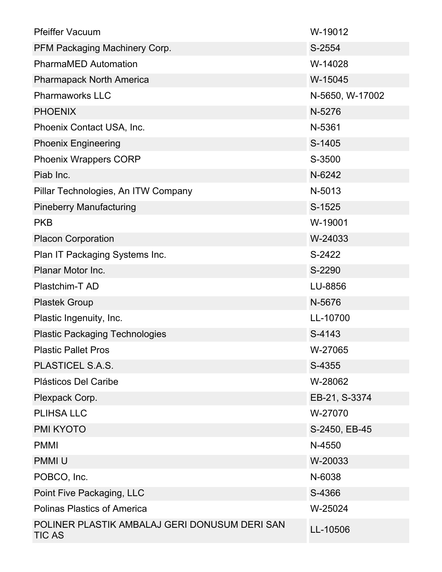| <b>Pfeiffer Vacuum</b>                                         | W-19012         |
|----------------------------------------------------------------|-----------------|
| PFM Packaging Machinery Corp.                                  | S-2554          |
| <b>PharmaMED Automation</b>                                    | W-14028         |
| <b>Pharmapack North America</b>                                | W-15045         |
| <b>Pharmaworks LLC</b>                                         | N-5650, W-17002 |
| <b>PHOENIX</b>                                                 | N-5276          |
| Phoenix Contact USA, Inc.                                      | N-5361          |
| <b>Phoenix Engineering</b>                                     | S-1405          |
| <b>Phoenix Wrappers CORP</b>                                   | S-3500          |
| Piab Inc.                                                      | N-6242          |
| Pillar Technologies, An ITW Company                            | N-5013          |
| <b>Pineberry Manufacturing</b>                                 | S-1525          |
| <b>PKB</b>                                                     | W-19001         |
| <b>Placon Corporation</b>                                      | W-24033         |
| Plan IT Packaging Systems Inc.                                 | S-2422          |
| Planar Motor Inc.                                              | S-2290          |
| Plastchim-T AD                                                 | LU-8856         |
| <b>Plastek Group</b>                                           | N-5676          |
| Plastic Ingenuity, Inc.                                        | LL-10700        |
| <b>Plastic Packaging Technologies</b>                          | S-4143          |
| <b>Plastic Pallet Pros</b>                                     | W-27065         |
| PLASTICEL S.A.S.                                               | S-4355          |
| Plásticos Del Caribe                                           | W-28062         |
| Plexpack Corp.                                                 | EB-21, S-3374   |
| <b>PLIHSA LLC</b>                                              | W-27070         |
| <b>PMI KYOTO</b>                                               | S-2450, EB-45   |
| <b>PMMI</b>                                                    | N-4550          |
| <b>PMMIU</b>                                                   | W-20033         |
| POBCO, Inc.                                                    | N-6038          |
| Point Five Packaging, LLC                                      | S-4366          |
| <b>Polinas Plastics of America</b>                             | W-25024         |
| POLINER PLASTIK AMBALAJ GERI DONUSUM DERI SAN<br><b>TIC AS</b> | LL-10506        |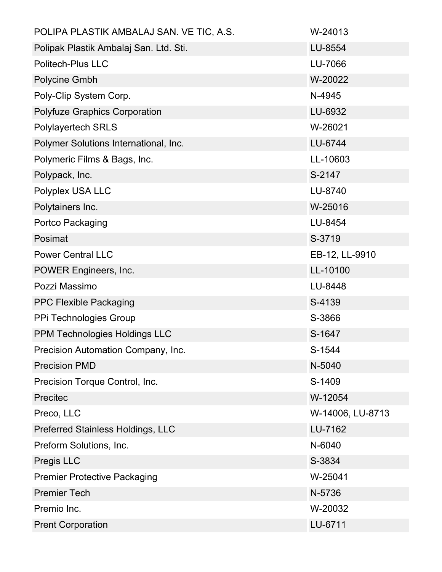| POLIPA PLASTIK AMBALAJ SAN. VE TIC, A.S. | W-24013          |
|------------------------------------------|------------------|
| Polipak Plastik Ambalaj San. Ltd. Sti.   | LU-8554          |
| <b>Politech-Plus LLC</b>                 | LU-7066          |
| Polycine Gmbh                            | W-20022          |
| Poly-Clip System Corp.                   | N-4945           |
| <b>Polyfuze Graphics Corporation</b>     | LU-6932          |
| <b>Polylayertech SRLS</b>                | W-26021          |
| Polymer Solutions International, Inc.    | LU-6744          |
| Polymeric Films & Bags, Inc.             | LL-10603         |
| Polypack, Inc.                           | S-2147           |
| Polyplex USA LLC                         | LU-8740          |
| Polytainers Inc.                         | W-25016          |
| Portco Packaging                         | LU-8454          |
| Posimat                                  | S-3719           |
| <b>Power Central LLC</b>                 | EB-12, LL-9910   |
| POWER Engineers, Inc.                    | LL-10100         |
| Pozzi Massimo                            | LU-8448          |
| <b>PPC Flexible Packaging</b>            | S-4139           |
| PPi Technologies Group                   | S-3866           |
| PPM Technologies Holdings LLC            | S-1647           |
| Precision Automation Company, Inc.       | S-1544           |
| <b>Precision PMD</b>                     | N-5040           |
| Precision Torque Control, Inc.           | S-1409           |
| Precitec                                 | W-12054          |
| Preco, LLC                               | W-14006, LU-8713 |
| <b>Preferred Stainless Holdings, LLC</b> | LU-7162          |
| Preform Solutions, Inc.                  | N-6040           |
| Pregis LLC                               | S-3834           |
| <b>Premier Protective Packaging</b>      | W-25041          |
| <b>Premier Tech</b>                      | N-5736           |
| Premio Inc.                              | W-20032          |
| <b>Prent Corporation</b>                 | LU-6711          |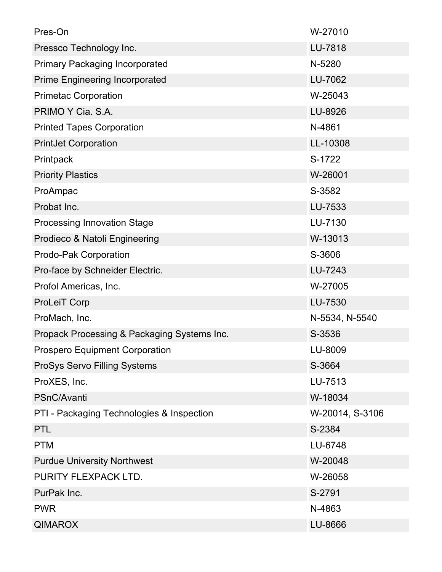| Pres-On                                     | W-27010         |
|---------------------------------------------|-----------------|
| Pressco Technology Inc.                     | LU-7818         |
| <b>Primary Packaging Incorporated</b>       | N-5280          |
| <b>Prime Engineering Incorporated</b>       | LU-7062         |
| <b>Primetac Corporation</b>                 | W-25043         |
| PRIMO Y Cia. S.A.                           | LU-8926         |
| <b>Printed Tapes Corporation</b>            | N-4861          |
| <b>PrintJet Corporation</b>                 | LL-10308        |
| Printpack                                   | S-1722          |
| <b>Priority Plastics</b>                    | W-26001         |
| ProAmpac                                    | S-3582          |
| Probat Inc.                                 | LU-7533         |
| <b>Processing Innovation Stage</b>          | LU-7130         |
| Prodieco & Natoli Engineering               | W-13013         |
| Prodo-Pak Corporation                       | S-3606          |
| Pro-face by Schneider Electric.             | LU-7243         |
| Profol Americas, Inc.                       | W-27005         |
| <b>ProLeiT Corp</b>                         | LU-7530         |
| ProMach, Inc.                               | N-5534, N-5540  |
| Propack Processing & Packaging Systems Inc. | S-3536          |
| <b>Prospero Equipment Corporation</b>       | LU-8009         |
| ProSys Servo Filling Systems                | S-3664          |
| ProXES, Inc.                                | LU-7513         |
| PSnC/Avanti                                 | W-18034         |
| PTI - Packaging Technologies & Inspection   | W-20014, S-3106 |
| <b>PTL</b>                                  | S-2384          |
| <b>PTM</b>                                  | LU-6748         |
| <b>Purdue University Northwest</b>          | W-20048         |
| PURITY FLEXPACK LTD.                        | W-26058         |
| PurPak Inc.                                 | S-2791          |
| <b>PWR</b>                                  | N-4863          |
| <b>QIMAROX</b>                              | LU-8666         |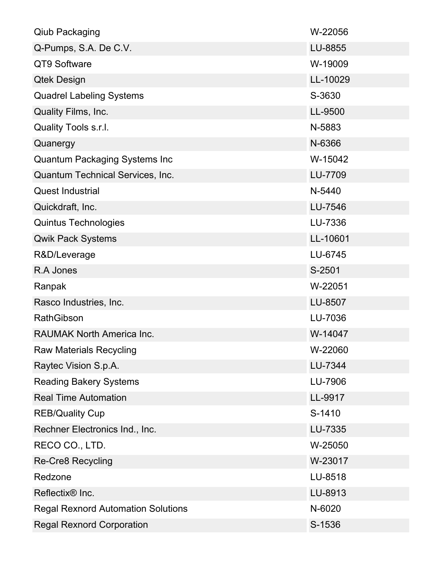| <b>Qiub Packaging</b>                     | W-22056  |
|-------------------------------------------|----------|
| Q-Pumps, S.A. De C.V.                     | LU-8855  |
| QT9 Software                              | W-19009  |
| <b>Qtek Design</b>                        | LL-10029 |
| <b>Quadrel Labeling Systems</b>           | S-3630   |
| Quality Films, Inc.                       | LL-9500  |
| Quality Tools s.r.l.                      | N-5883   |
| Quanergy                                  | N-6366   |
| <b>Quantum Packaging Systems Inc</b>      | W-15042  |
| Quantum Technical Services, Inc.          | LU-7709  |
| <b>Quest Industrial</b>                   | N-5440   |
| Quickdraft, Inc.                          | LU-7546  |
| <b>Quintus Technologies</b>               | LU-7336  |
| <b>Qwik Pack Systems</b>                  | LL-10601 |
| R&D/Leverage                              | LU-6745  |
| R.A Jones                                 | S-2501   |
| Ranpak                                    | W-22051  |
| Rasco Industries, Inc.                    | LU-8507  |
| <b>RathGibson</b>                         | LU-7036  |
| <b>RAUMAK North America Inc.</b>          | W-14047  |
| <b>Raw Materials Recycling</b>            | W-22060  |
| Raytec Vision S.p.A.                      | LU-7344  |
| <b>Reading Bakery Systems</b>             | LU-7906  |
| <b>Real Time Automation</b>               | LL-9917  |
| <b>REB/Quality Cup</b>                    | S-1410   |
| Rechner Electronics Ind., Inc.            | LU-7335  |
| RECO CO., LTD.                            | W-25050  |
| <b>Re-Cre8 Recycling</b>                  | W-23017  |
| Redzone                                   | LU-8518  |
| Reflectix <sup>®</sup> Inc.               | LU-8913  |
| <b>Regal Rexnord Automation Solutions</b> | N-6020   |
| <b>Regal Rexnord Corporation</b>          | S-1536   |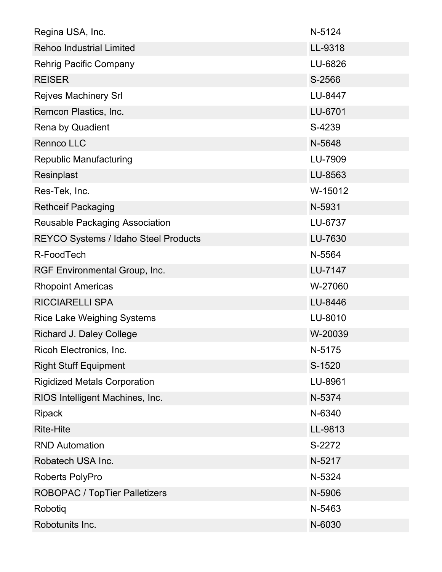| Regina USA, Inc.                            | N-5124  |
|---------------------------------------------|---------|
| Rehoo Industrial Limited                    | LL-9318 |
| <b>Rehrig Pacific Company</b>               | LU-6826 |
| <b>REISER</b>                               | S-2566  |
| <b>Rejves Machinery Srl</b>                 | LU-8447 |
| Remcon Plastics, Inc.                       | LU-6701 |
| Rena by Quadient                            | S-4239  |
| <b>Rennco LLC</b>                           | N-5648  |
| <b>Republic Manufacturing</b>               | LU-7909 |
| Resinplast                                  | LU-8563 |
| Res-Tek, Inc.                               | W-15012 |
| <b>Rethceif Packaging</b>                   | N-5931  |
| <b>Reusable Packaging Association</b>       | LU-6737 |
| <b>REYCO Systems / Idaho Steel Products</b> | LU-7630 |
| R-FoodTech                                  | N-5564  |
| RGF Environmental Group, Inc.               | LU-7147 |
| <b>Rhopoint Americas</b>                    | W-27060 |
| <b>RICCIARELLI SPA</b>                      | LU-8446 |
| <b>Rice Lake Weighing Systems</b>           | LU-8010 |
| <b>Richard J. Daley College</b>             | W-20039 |
| Ricoh Electronics, Inc.                     | N-5175  |
| <b>Right Stuff Equipment</b>                | S-1520  |
| <b>Rigidized Metals Corporation</b>         | LU-8961 |
| RIOS Intelligent Machines, Inc.             | N-5374  |
| <b>Ripack</b>                               | N-6340  |
| <b>Rite-Hite</b>                            | LL-9813 |
| <b>RND Automation</b>                       | S-2272  |
| Robatech USA Inc.                           | N-5217  |
| Roberts PolyPro                             | N-5324  |
| <b>ROBOPAC / TopTier Palletizers</b>        | N-5906  |
| Robotiq                                     | N-5463  |
| Robotunits Inc.                             | N-6030  |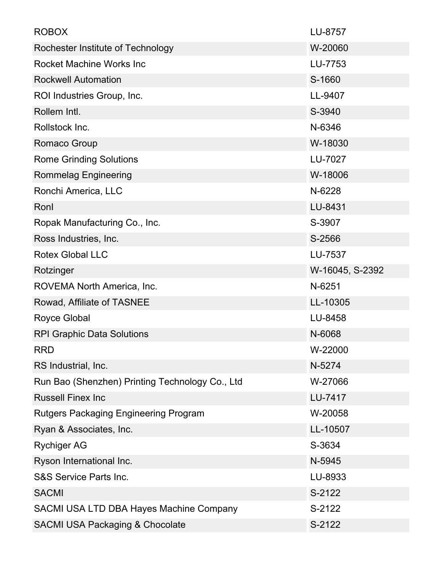| <b>ROBOX</b>                                    | LU-8757         |
|-------------------------------------------------|-----------------|
| Rochester Institute of Technology               | W-20060         |
| Rocket Machine Works Inc                        | LU-7753         |
| <b>Rockwell Automation</b>                      | S-1660          |
| ROI Industries Group, Inc.                      | LL-9407         |
| Rollem Intl.                                    | S-3940          |
| Rollstock Inc.                                  | N-6346          |
| Romaco Group                                    | W-18030         |
| <b>Rome Grinding Solutions</b>                  | LU-7027         |
| <b>Rommelag Engineering</b>                     | W-18006         |
| Ronchi America, LLC                             | N-6228          |
| Ronl                                            | LU-8431         |
| Ropak Manufacturing Co., Inc.                   | S-3907          |
| Ross Industries, Inc.                           | S-2566          |
| <b>Rotex Global LLC</b>                         | LU-7537         |
| Rotzinger                                       | W-16045, S-2392 |
| ROVEMA North America, Inc.                      | N-6251          |
| Rowad, Affiliate of TASNEE                      | LL-10305        |
| <b>Royce Global</b>                             | LU-8458         |
| <b>RPI Graphic Data Solutions</b>               | N-6068          |
| <b>RRD</b>                                      | W-22000         |
| RS Industrial, Inc.                             | N-5274          |
| Run Bao (Shenzhen) Printing Technology Co., Ltd | W-27066         |
| <b>Russell Finex Inc</b>                        | LU-7417         |
| <b>Rutgers Packaging Engineering Program</b>    | W-20058         |
| Ryan & Associates, Inc.                         | LL-10507        |
| <b>Rychiger AG</b>                              | S-3634          |
| Ryson International Inc.                        | N-5945          |
| <b>S&amp;S Service Parts Inc.</b>               | LU-8933         |
| <b>SACMI</b>                                    | S-2122          |
| SACMI USA LTD DBA Hayes Machine Company         | S-2122          |
| <b>SACMI USA Packaging &amp; Chocolate</b>      | S-2122          |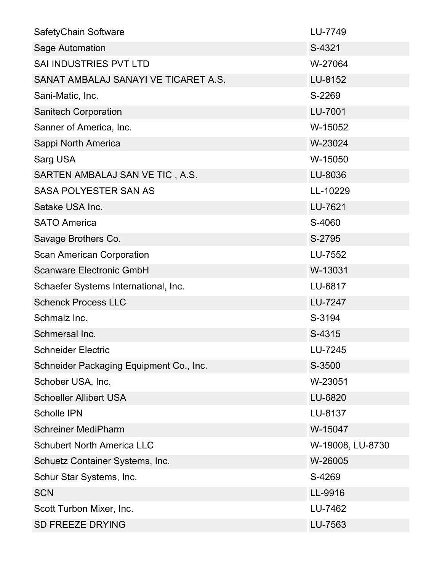| SafetyChain Software                    | LU-7749          |
|-----------------------------------------|------------------|
| Sage Automation                         | S-4321           |
| <b>SAI INDUSTRIES PVT LTD</b>           | W-27064          |
| SANAT AMBALAJ SANAYI VE TICARET A.S.    | LU-8152          |
| Sani-Matic, Inc.                        | S-2269           |
| <b>Sanitech Corporation</b>             | LU-7001          |
| Sanner of America, Inc.                 | W-15052          |
| Sappi North America                     | W-23024          |
| Sarg USA                                | W-15050          |
| SARTEN AMBALAJ SAN VE TIC, A.S.         | LU-8036          |
| <b>SASA POLYESTER SAN AS</b>            | LL-10229         |
| Satake USA Inc.                         | LU-7621          |
| <b>SATO America</b>                     | S-4060           |
| Savage Brothers Co.                     | S-2795           |
| <b>Scan American Corporation</b>        | LU-7552          |
| <b>Scanware Electronic GmbH</b>         | W-13031          |
| Schaefer Systems International, Inc.    | LU-6817          |
| <b>Schenck Process LLC</b>              | LU-7247          |
| Schmalz Inc.                            | S-3194           |
| Schmersal Inc.                          | S-4315           |
| <b>Schneider Electric</b>               | LU-7245          |
| Schneider Packaging Equipment Co., Inc. | S-3500           |
| Schober USA, Inc.                       | W-23051          |
| <b>Schoeller Allibert USA</b>           | LU-6820          |
| <b>Scholle IPN</b>                      | LU-8137          |
| <b>Schreiner MediPharm</b>              | W-15047          |
| <b>Schubert North America LLC</b>       | W-19008, LU-8730 |
| Schuetz Container Systems, Inc.         | W-26005          |
| Schur Star Systems, Inc.                | S-4269           |
| <b>SCN</b>                              | LL-9916          |
| Scott Turbon Mixer, Inc.                | LU-7462          |
| <b>SD FREEZE DRYING</b>                 | LU-7563          |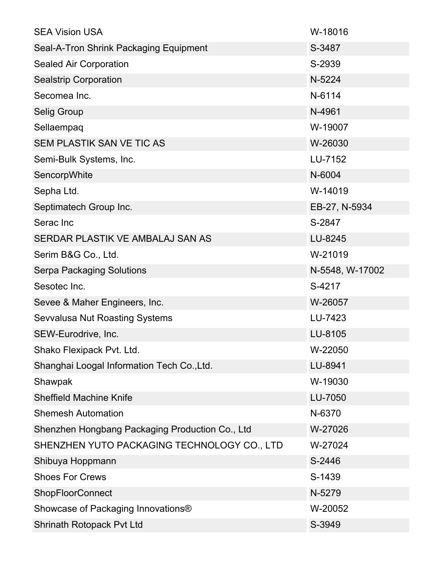| <b>SEA Vision USA</b>                           | W-18016         |
|-------------------------------------------------|-----------------|
| Seal-A-Tron Shrink Packaging Equipment          | S-3487          |
| <b>Sealed Air Corporation</b>                   | S-2939          |
| <b>Sealstrip Corporation</b>                    | N-5224          |
| Secomea Inc.                                    | N-6114          |
| <b>Selig Group</b>                              | N-4961          |
| Sellaempaq                                      | W-19007         |
| SEM PLASTIK SAN VE TIC AS                       | W-26030         |
| Semi-Bulk Systems, Inc.                         | LU-7152         |
| SencorpWhite                                    | N-6004          |
| Sepha Ltd.                                      | W-14019         |
| Septimatech Group Inc.                          | EB-27, N-5934   |
| Serac Inc                                       | S-2847          |
| SERDAR PLASTIK VE AMBALAJ SAN AS                | LU-8245         |
| Serim B&G Co., Ltd.                             | W-21019         |
| <b>Serpa Packaging Solutions</b>                | N-5548, W-17002 |
| Sesotec Inc.                                    | S-4217          |
| Sevee & Maher Engineers, Inc.                   | W-26057         |
| <b>Sevvalusa Nut Roasting Systems</b>           | LU-7423         |
| SEW-Eurodrive, Inc.                             | LU-8105         |
| Shako Flexipack Pvt. Ltd.                       | W-22050         |
| Shanghai Loogal Information Tech Co., Ltd.      | LU-8941         |
| Shawpak                                         | W-19030         |
| <b>Sheffield Machine Knife</b>                  | LU-7050         |
| <b>Shemesh Automation</b>                       | N-6370          |
| Shenzhen Hongbang Packaging Production Co., Ltd | W-27026         |
| SHENZHEN YUTO PACKAGING TECHNOLOGY CO., LTD     | W-27024         |
| Shibuya Hoppmann                                | S-2446          |
| <b>Shoes For Crews</b>                          | S-1439          |
| <b>ShopFloorConnect</b>                         | N-5279          |
| Showcase of Packaging Innovations®              | W-20052         |
| Shrinath Rotopack Pvt Ltd                       | S-3949          |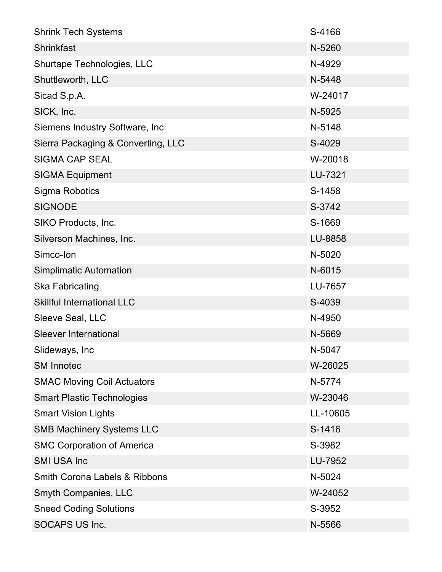| <b>Shrink Tech Systems</b>               | S-4166   |
|------------------------------------------|----------|
| <b>Shrinkfast</b>                        | N-5260   |
| Shurtape Technologies, LLC               | N-4929   |
| Shuttleworth, LLC                        | N-5448   |
| Sicad S.p.A.                             | W-24017  |
| SICK, Inc.                               | N-5925   |
| Siemens Industry Software, Inc           | N-5148   |
| Sierra Packaging & Converting, LLC       | S-4029   |
| <b>SIGMA CAP SEAL</b>                    | W-20018  |
| <b>SIGMA Equipment</b>                   | LU-7321  |
| <b>Sigma Robotics</b>                    | S-1458   |
| <b>SIGNODE</b>                           | S-3742   |
| SIKO Products, Inc.                      | S-1669   |
| Silverson Machines, Inc.                 | LU-8858  |
| Simco-Ion                                | N-5020   |
| <b>Simplimatic Automation</b>            | N-6015   |
| <b>Ska Fabricating</b>                   | LU-7657  |
| <b>Skillful International LLC</b>        | S-4039   |
| Sleeve Seal, LLC                         | N-4950   |
| <b>Sleever International</b>             | N-5669   |
| Slideways, Inc                           | N-5047   |
| <b>SM Innotec</b>                        | W-26025  |
| <b>SMAC Moving Coil Actuators</b>        | N-5774   |
| <b>Smart Plastic Technologies</b>        | W-23046  |
| <b>Smart Vision Lights</b>               | LL-10605 |
| <b>SMB Machinery Systems LLC</b>         | S-1416   |
| <b>SMC Corporation of America</b>        | S-3982   |
| <b>SMI USA Inc</b>                       | LU-7952  |
| <b>Smith Corona Labels &amp; Ribbons</b> | N-5024   |
| <b>Smyth Companies, LLC</b>              | W-24052  |
| <b>Sneed Coding Solutions</b>            | S-3952   |
| <b>SOCAPS US Inc.</b>                    | N-5566   |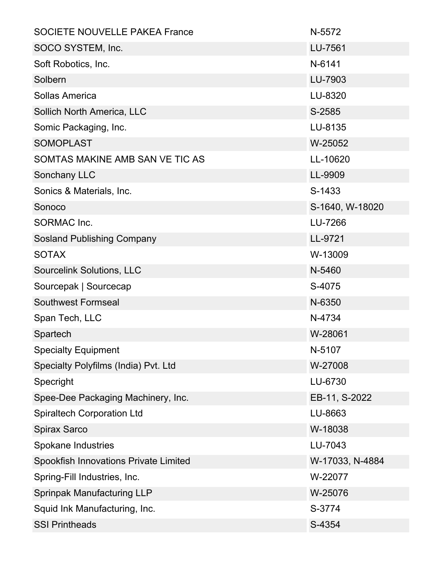| <b>SOCIETE NOUVELLE PAKEA France</b>  | N-5572          |
|---------------------------------------|-----------------|
| SOCO SYSTEM, Inc.                     | LU-7561         |
| Soft Robotics, Inc.                   | N-6141          |
| Solbern                               | LU-7903         |
| Sollas America                        | LU-8320         |
| Sollich North America, LLC            | S-2585          |
| Somic Packaging, Inc.                 | LU-8135         |
| <b>SOMOPLAST</b>                      | W-25052         |
| SOMTAS MAKINE AMB SAN VE TIC AS       | LL-10620        |
| Sonchany LLC                          | LL-9909         |
| Sonics & Materials, Inc.              | S-1433          |
| Sonoco                                | S-1640, W-18020 |
| <b>SORMAC Inc.</b>                    | LU-7266         |
| <b>Sosland Publishing Company</b>     | LL-9721         |
| <b>SOTAX</b>                          | W-13009         |
| <b>Sourcelink Solutions, LLC</b>      | N-5460          |
| Sourcepak   Sourcecap                 | S-4075          |
| <b>Southwest Formseal</b>             | N-6350          |
| Span Tech, LLC                        | N-4734          |
| Spartech                              | W-28061         |
| <b>Specialty Equipment</b>            | N-5107          |
| Specialty Polyfilms (India) Pvt. Ltd  | W-27008         |
| Specright                             | LU-6730         |
| Spee-Dee Packaging Machinery, Inc.    | EB-11, S-2022   |
| <b>Spiraltech Corporation Ltd</b>     | LU-8663         |
| <b>Spirax Sarco</b>                   | W-18038         |
| <b>Spokane Industries</b>             | LU-7043         |
| Spookfish Innovations Private Limited | W-17033, N-4884 |
| Spring-Fill Industries, Inc.          | W-22077         |
| <b>Sprinpak Manufacturing LLP</b>     | W-25076         |
| Squid Ink Manufacturing, Inc.         | S-3774          |
| <b>SSI Printheads</b>                 | S-4354          |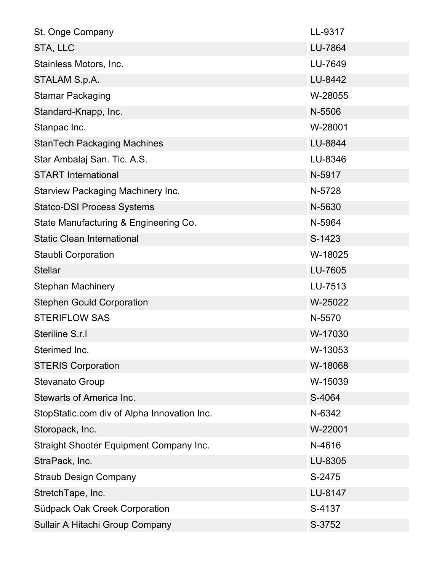| St. Onge Company                               | LL-9317 |
|------------------------------------------------|---------|
| STA, LLC                                       | LU-7864 |
| Stainless Motors, Inc.                         | LU-7649 |
| STALAM S.p.A.                                  | LU-8442 |
| <b>Stamar Packaging</b>                        | W-28055 |
| Standard-Knapp, Inc.                           | N-5506  |
| Stanpac Inc.                                   | W-28001 |
| <b>StanTech Packaging Machines</b>             | LU-8844 |
| Star Ambalaj San. Tic. A.S.                    | LU-8346 |
| <b>START International</b>                     | N-5917  |
| <b>Starview Packaging Machinery Inc.</b>       | N-5728  |
| <b>Statco-DSI Process Systems</b>              | N-5630  |
| State Manufacturing & Engineering Co.          | N-5964  |
| <b>Static Clean International</b>              | S-1423  |
| <b>Staubli Corporation</b>                     | W-18025 |
| <b>Stellar</b>                                 | LU-7605 |
| <b>Stephan Machinery</b>                       | LU-7513 |
| <b>Stephen Gould Corporation</b>               | W-25022 |
| <b>STERIFLOW SAS</b>                           | N-5570  |
| Steriline S.r.I                                | W-17030 |
| Sterimed Inc.                                  | W-13053 |
| <b>STERIS Corporation</b>                      | W-18068 |
| <b>Stevanato Group</b>                         | W-15039 |
| <b>Stewarts of America Inc.</b>                | S-4064  |
| StopStatic.com div of Alpha Innovation Inc.    | N-6342  |
| Storopack, Inc.                                | W-22001 |
| <b>Straight Shooter Equipment Company Inc.</b> | N-4616  |
| StraPack, Inc.                                 | LU-8305 |
| <b>Straub Design Company</b>                   | S-2475  |
| StretchTape, Inc.                              | LU-8147 |
| Südpack Oak Creek Corporation                  | S-4137  |
| Sullair A Hitachi Group Company                | S-3752  |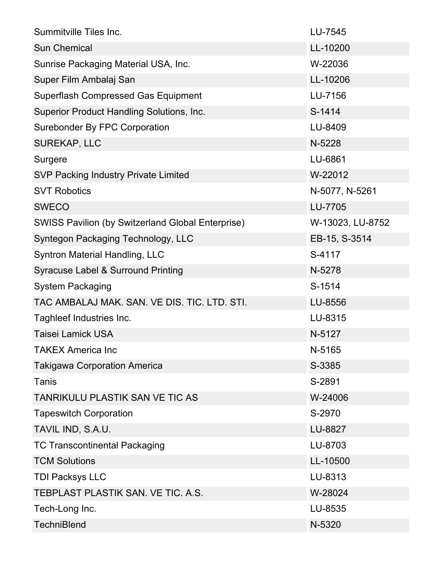| Summitville Tiles Inc.                                   | LU-7545          |
|----------------------------------------------------------|------------------|
| <b>Sun Chemical</b>                                      | LL-10200         |
| Sunrise Packaging Material USA, Inc.                     | W-22036          |
| Super Film Ambalaj San                                   | LL-10206         |
| <b>Superflash Compressed Gas Equipment</b>               | LU-7156          |
| Superior Product Handling Solutions, Inc.                | S-1414           |
| <b>Surebonder By FPC Corporation</b>                     | LU-8409          |
| SUREKAP, LLC                                             | N-5228           |
| Surgere                                                  | LU-6861          |
| <b>SVP Packing Industry Private Limited</b>              | W-22012          |
| <b>SVT Robotics</b>                                      | N-5077, N-5261   |
| <b>SWECO</b>                                             | LU-7705          |
| <b>SWISS Pavilion (by Switzerland Global Enterprise)</b> | W-13023, LU-8752 |
| Syntegon Packaging Technology, LLC                       | EB-15, S-3514    |
| Syntron Material Handling, LLC                           | S-4117           |
| Syracuse Label & Surround Printing                       | N-5278           |
| <b>System Packaging</b>                                  | S-1514           |
| TAC AMBALAJ MAK. SAN. VE DIS. TIC. LTD. STI.             | LU-8556          |
| Taghleef Industries Inc.                                 | LU-8315          |
| <b>Taisei Lamick USA</b>                                 | N-5127           |
| <b>TAKEX America Inc</b>                                 | N-5165           |
| <b>Takigawa Corporation America</b>                      | S-3385           |
| Tanis                                                    | S-2891           |
| <b>TANRIKULU PLASTIK SAN VE TIC AS</b>                   | W-24006          |
| <b>Tapeswitch Corporation</b>                            | S-2970           |
| TAVIL IND, S.A.U.                                        | LU-8827          |
| <b>TC Transcontinental Packaging</b>                     | LU-8703          |
| <b>TCM Solutions</b>                                     | LL-10500         |
| <b>TDI Packsys LLC</b>                                   | LU-8313          |
| TEBPLAST PLASTIK SAN. VE TIC. A.S.                       | W-28024          |
| Tech-Long Inc.                                           | LU-8535          |
| <b>TechniBlend</b>                                       | N-5320           |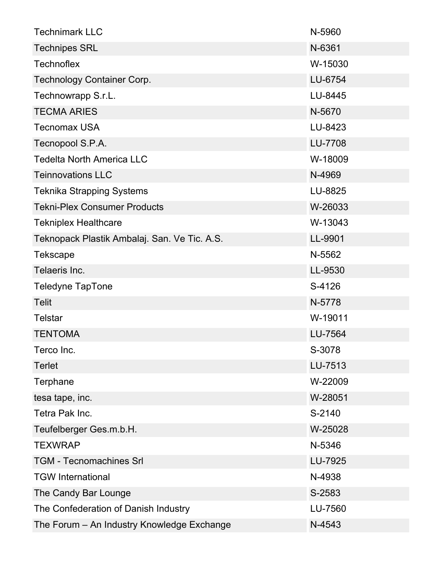| <b>Technimark LLC</b>                        | N-5960  |
|----------------------------------------------|---------|
| <b>Technipes SRL</b>                         | N-6361  |
| <b>Technoflex</b>                            | W-15030 |
| <b>Technology Container Corp.</b>            | LU-6754 |
| Technowrapp S.r.L.                           | LU-8445 |
| <b>TECMA ARIES</b>                           | N-5670  |
| <b>Tecnomax USA</b>                          | LU-8423 |
| Tecnopool S.P.A.                             | LU-7708 |
| <b>Tedelta North America LLC</b>             | W-18009 |
| <b>Teinnovations LLC</b>                     | N-4969  |
| <b>Teknika Strapping Systems</b>             | LU-8825 |
| <b>Tekni-Plex Consumer Products</b>          | W-26033 |
| <b>Tekniplex Healthcare</b>                  | W-13043 |
| Teknopack Plastik Ambalaj. San. Ve Tic. A.S. | LL-9901 |
| <b>Tekscape</b>                              | N-5562  |
| Telaeris Inc.                                | LL-9530 |
| <b>Teledyne TapTone</b>                      | S-4126  |
| <b>Telit</b>                                 | N-5778  |
| <b>Telstar</b>                               | W-19011 |
| <b>TENTOMA</b>                               | LU-7564 |
| Terco Inc.                                   | S-3078  |
| <b>Terlet</b>                                | LU-7513 |
| Terphane                                     | W-22009 |
| tesa tape, inc.                              | W-28051 |
| Tetra Pak Inc.                               | S-2140  |
| Teufelberger Ges.m.b.H.                      | W-25028 |
| <b>TEXWRAP</b>                               | N-5346  |
| <b>TGM - Tecnomachines Srl</b>               | LU-7925 |
| <b>TGW</b> International                     | N-4938  |
| The Candy Bar Lounge                         | S-2583  |
| The Confederation of Danish Industry         | LU-7560 |
| The Forum - An Industry Knowledge Exchange   | N-4543  |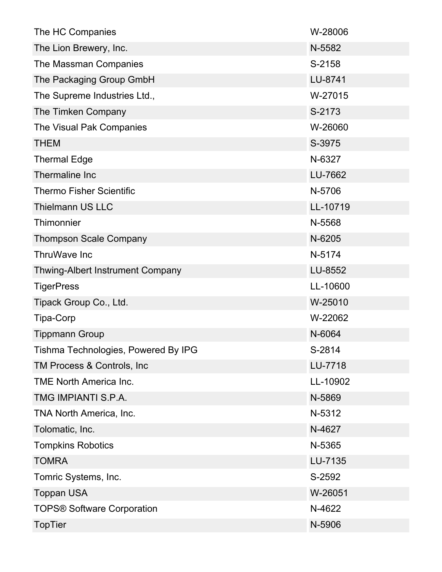| The HC Companies                    | W-28006  |
|-------------------------------------|----------|
| The Lion Brewery, Inc.              | N-5582   |
| The Massman Companies               | S-2158   |
| The Packaging Group GmbH            | LU-8741  |
| The Supreme Industries Ltd.,        | W-27015  |
| The Timken Company                  | S-2173   |
| The Visual Pak Companies            | W-26060  |
| <b>THEM</b>                         | S-3975   |
| <b>Thermal Edge</b>                 | N-6327   |
| Thermaline Inc                      | LU-7662  |
| <b>Thermo Fisher Scientific</b>     | N-5706   |
| <b>Thielmann US LLC</b>             | LL-10719 |
| Thimonnier                          | N-5568   |
| <b>Thompson Scale Company</b>       | N-6205   |
| ThruWave Inc                        | N-5174   |
| Thwing-Albert Instrument Company    | LU-8552  |
| <b>TigerPress</b>                   | LL-10600 |
| Tipack Group Co., Ltd.              | W-25010  |
| Tipa-Corp                           | W-22062  |
|                                     |          |
| <b>Tippmann Group</b>               | N-6064   |
| Tishma Technologies, Powered By IPG | S-2814   |
| TM Process & Controls, Inc.         | LU-7718  |
| <b>TME North America Inc.</b>       | LL-10902 |
| TMG IMPIANTI S.P.A.                 | N-5869   |
| TNA North America, Inc.             | N-5312   |
| Tolomatic, Inc.                     | N-4627   |
| <b>Tompkins Robotics</b>            | N-5365   |
| <b>TOMRA</b>                        | LU-7135  |
| Tomric Systems, Inc.                | S-2592   |
| <b>Toppan USA</b>                   | W-26051  |
| <b>TOPS® Software Corporation</b>   | N-4622   |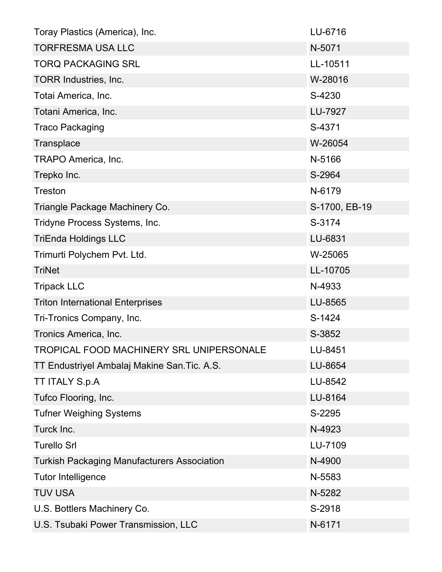| Toray Plastics (America), Inc.                     | LU-6716       |
|----------------------------------------------------|---------------|
| <b>TORFRESMA USA LLC</b>                           | N-5071        |
| <b>TORQ PACKAGING SRL</b>                          | LL-10511      |
| TORR Industries, Inc.                              | W-28016       |
| Totai America, Inc.                                | S-4230        |
| Totani America, Inc.                               | LU-7927       |
| <b>Traco Packaging</b>                             | S-4371        |
| Transplace                                         | W-26054       |
| TRAPO America, Inc.                                | N-5166        |
| Trepko Inc.                                        | S-2964        |
| <b>Treston</b>                                     | N-6179        |
| Triangle Package Machinery Co.                     | S-1700, EB-19 |
| Tridyne Process Systems, Inc.                      | S-3174        |
| <b>TriEnda Holdings LLC</b>                        | LU-6831       |
| Trimurti Polychem Pvt. Ltd.                        | W-25065       |
| <b>TriNet</b>                                      | LL-10705      |
| <b>Tripack LLC</b>                                 | N-4933        |
| <b>Triton International Enterprises</b>            | LU-8565       |
| Tri-Tronics Company, Inc.                          | S-1424        |
| Tronics America, Inc.                              | S-3852        |
| <b>TROPICAL FOOD MACHINERY SRL UNIPERSONALE</b>    | LU-8451       |
| TT Endustriyel Ambalaj Makine San. Tic. A.S.       | LU-8654       |
| <b>TT ITALY S.p.A</b>                              | LU-8542       |
| Tufco Flooring, Inc.                               | LU-8164       |
| <b>Tufner Weighing Systems</b>                     | S-2295        |
| Turck Inc.                                         | N-4923        |
| <b>Turello Srl</b>                                 | LU-7109       |
| <b>Turkish Packaging Manufacturers Association</b> | N-4900        |
| <b>Tutor Intelligence</b>                          | N-5583        |
| <b>TUV USA</b>                                     | N-5282        |
| U.S. Bottlers Machinery Co.                        | S-2918        |
| U.S. Tsubaki Power Transmission, LLC               | N-6171        |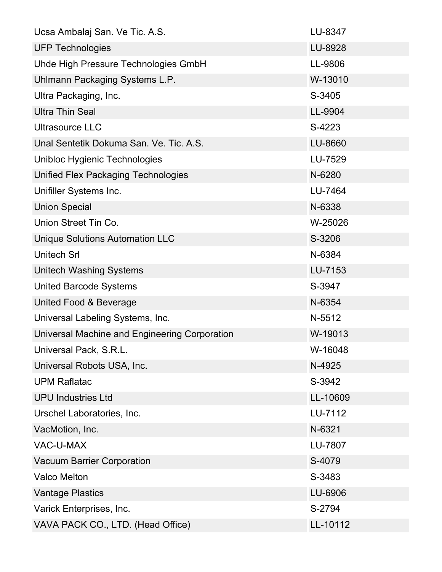| Ucsa Ambalaj San. Ve Tic. A.S.                | LU-8347  |
|-----------------------------------------------|----------|
| <b>UFP Technologies</b>                       | LU-8928  |
| Uhde High Pressure Technologies GmbH          | LL-9806  |
| Uhlmann Packaging Systems L.P.                | W-13010  |
| Ultra Packaging, Inc.                         | S-3405   |
| <b>Ultra Thin Seal</b>                        | LL-9904  |
| Ultrasource LLC                               | S-4223   |
| Unal Sentetik Dokuma San. Ve. Tic. A.S.       | LU-8660  |
| Unibloc Hygienic Technologies                 | LU-7529  |
| Unified Flex Packaging Technologies           | N-6280   |
| Unifiller Systems Inc.                        | LU-7464  |
| <b>Union Special</b>                          | N-6338   |
| Union Street Tin Co.                          | W-25026  |
| <b>Unique Solutions Automation LLC</b>        | S-3206   |
| <b>Unitech Srl</b>                            | N-6384   |
| Unitech Washing Systems                       | LU-7153  |
| <b>United Barcode Systems</b>                 | S-3947   |
| United Food & Beverage                        | N-6354   |
| Universal Labeling Systems, Inc.              | N-5512   |
| Universal Machine and Engineering Corporation | W-19013  |
| Universal Pack, S.R.L.                        | W-16048  |
| Universal Robots USA, Inc.                    | N-4925   |
| <b>UPM Raflatac</b>                           | S-3942   |
| <b>UPU Industries Ltd</b>                     | LL-10609 |
| Urschel Laboratories, Inc.                    | LU-7112  |
| VacMotion, Inc.                               | N-6321   |
| <b>VAC-U-MAX</b>                              | LU-7807  |
| <b>Vacuum Barrier Corporation</b>             | S-4079   |
| <b>Valco Melton</b>                           | S-3483   |
| <b>Vantage Plastics</b>                       | LU-6906  |
| Varick Enterprises, Inc.                      | S-2794   |
| VAVA PACK CO., LTD. (Head Office)             | LL-10112 |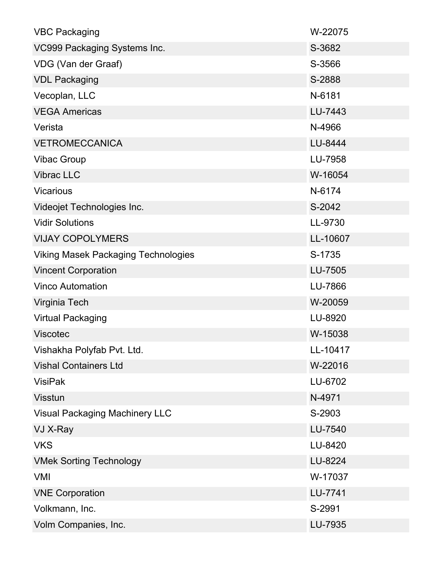| <b>VBC Packaging</b>                       | W-22075  |
|--------------------------------------------|----------|
| VC999 Packaging Systems Inc.               | S-3682   |
| VDG (Van der Graaf)                        | S-3566   |
| <b>VDL Packaging</b>                       | S-2888   |
| Vecoplan, LLC                              | N-6181   |
| <b>VEGA Americas</b>                       | LU-7443  |
| Verista                                    | N-4966   |
| <b>VETROMECCANICA</b>                      | LU-8444  |
| <b>Vibac Group</b>                         | LU-7958  |
| Vibrac LLC                                 | W-16054  |
| <b>Vicarious</b>                           | N-6174   |
| Videojet Technologies Inc.                 | S-2042   |
| <b>Vidir Solutions</b>                     | LL-9730  |
| <b>VIJAY COPOLYMERS</b>                    | LL-10607 |
| <b>Viking Masek Packaging Technologies</b> | S-1735   |
| <b>Vincent Corporation</b>                 | LU-7505  |
| <b>Vinco Automation</b>                    | LU-7866  |
| Virginia Tech                              | W-20059  |
| <b>Virtual Packaging</b>                   | LU-8920  |
| <b>Viscotec</b>                            | W-15038  |
| Vishakha Polyfab Pvt. Ltd.                 | LL-10417 |
| <b>Vishal Containers Ltd</b>               | W-22016  |
| <b>VisiPak</b>                             | LU-6702  |
| <b>Visstun</b>                             | N-4971   |
| <b>Visual Packaging Machinery LLC</b>      | S-2903   |
| VJ X-Ray                                   | LU-7540  |
| <b>VKS</b>                                 | LU-8420  |
| <b>VMek Sorting Technology</b>             | LU-8224  |
| <b>VMI</b>                                 | W-17037  |
| <b>VNE Corporation</b>                     | LU-7741  |
| Volkmann, Inc.                             | S-2991   |
| Volm Companies, Inc.                       | LU-7935  |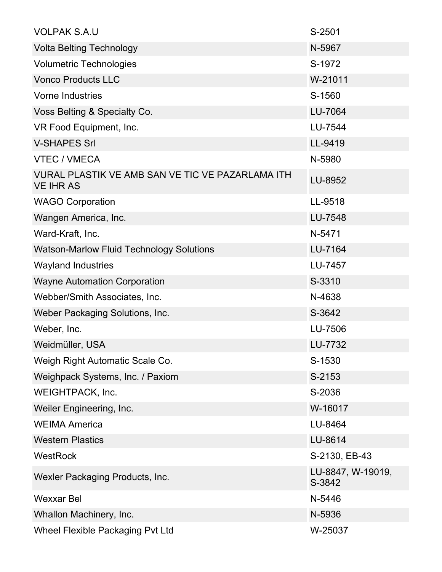| <b>VOLPAK S.A.U</b>                                                  | S-2501                      |
|----------------------------------------------------------------------|-----------------------------|
| <b>Volta Belting Technology</b>                                      | N-5967                      |
| <b>Volumetric Technologies</b>                                       | S-1972                      |
| <b>Vonco Products LLC</b>                                            | W-21011                     |
| <b>Vorne Industries</b>                                              | S-1560                      |
| Voss Belting & Specialty Co.                                         | LU-7064                     |
| VR Food Equipment, Inc.                                              | LU-7544                     |
| <b>V-SHAPES Srl</b>                                                  | LL-9419                     |
| <b>VTEC / VMECA</b>                                                  | N-5980                      |
| VURAL PLASTIK VE AMB SAN VE TIC VE PAZARLAMA ITH<br><b>VE IHR AS</b> | LU-8952                     |
| <b>WAGO Corporation</b>                                              | LL-9518                     |
| Wangen America, Inc.                                                 | LU-7548                     |
| Ward-Kraft, Inc.                                                     | N-5471                      |
| <b>Watson-Marlow Fluid Technology Solutions</b>                      | LU-7164                     |
| <b>Wayland Industries</b>                                            | LU-7457                     |
| <b>Wayne Automation Corporation</b>                                  | S-3310                      |
| Webber/Smith Associates, Inc.                                        | N-4638                      |
| Weber Packaging Solutions, Inc.                                      | S-3642                      |
| Weber, Inc.                                                          | LU-7506                     |
| Weidmüller, USA                                                      | LU-7732                     |
| Weigh Right Automatic Scale Co.                                      | S-1530                      |
| Weighpack Systems, Inc. / Paxiom                                     | S-2153                      |
| <b>WEIGHTPACK, Inc.</b>                                              | S-2036                      |
| Weiler Engineering, Inc.                                             | W-16017                     |
| <b>WEIMA America</b>                                                 | LU-8464                     |
| <b>Western Plastics</b>                                              | LU-8614                     |
| <b>WestRock</b>                                                      | S-2130, EB-43               |
| Wexler Packaging Products, Inc.                                      | LU-8847, W-19019,<br>S-3842 |
| <b>Wexxar Bel</b>                                                    | N-5446                      |
| Whallon Machinery, Inc.                                              | N-5936                      |
| <b>Wheel Flexible Packaging Pvt Ltd</b>                              | W-25037                     |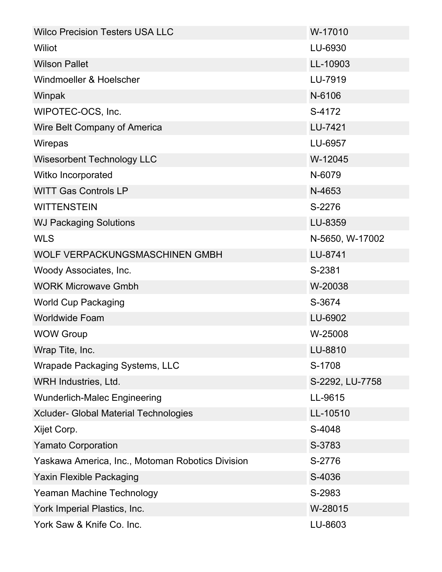| <b>Wilco Precision Testers USA LLC</b>           | W-17010         |
|--------------------------------------------------|-----------------|
| Wiliot                                           | LU-6930         |
| <b>Wilson Pallet</b>                             | LL-10903        |
| Windmoeller & Hoelscher                          | LU-7919         |
| Winpak                                           | N-6106          |
| WIPOTEC-OCS, Inc.                                | S-4172          |
| Wire Belt Company of America                     | LU-7421         |
| Wirepas                                          | LU-6957         |
| <b>Wisesorbent Technology LLC</b>                | W-12045         |
| Witko Incorporated                               | N-6079          |
| <b>WITT Gas Controls LP</b>                      | N-4653          |
| <b>WITTENSTEIN</b>                               | S-2276          |
| <b>WJ Packaging Solutions</b>                    | LU-8359         |
| <b>WLS</b>                                       | N-5650, W-17002 |
| WOLF VERPACKUNGSMASCHINEN GMBH                   | LU-8741         |
| Woody Associates, Inc.                           | S-2381          |
| <b>WORK Microwave Gmbh</b>                       | W-20038         |
| <b>World Cup Packaging</b>                       | S-3674          |
| <b>Worldwide Foam</b>                            | LU-6902         |
| <b>WOW Group</b>                                 | W-25008         |
| Wrap Tite, Inc.                                  | LU-8810         |
| <b>Wrapade Packaging Systems, LLC</b>            | S-1708          |
| WRH Industries, Ltd.                             | S-2292, LU-7758 |
| <b>Wunderlich-Malec Engineering</b>              | LL-9615         |
| Xcluder- Global Material Technologies            | LL-10510        |
| Xijet Corp.                                      | S-4048          |
| <b>Yamato Corporation</b>                        | S-3783          |
| Yaskawa America, Inc., Motoman Robotics Division | S-2776          |
| <b>Yaxin Flexible Packaging</b>                  | S-4036          |
| Yeaman Machine Technology                        | S-2983          |
| York Imperial Plastics, Inc.                     | W-28015         |
| York Saw & Knife Co. Inc.                        | LU-8603         |